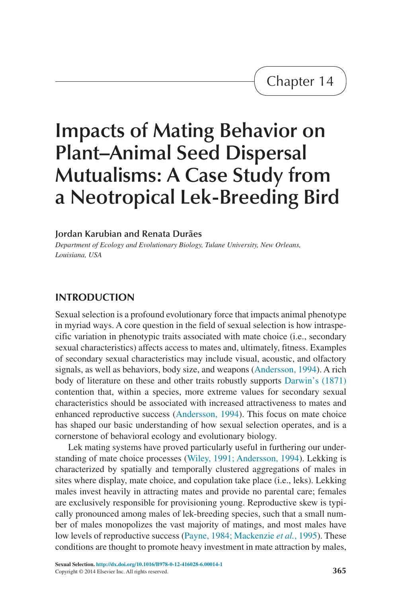# **Impacts of Mating Behavior on Plant–Animal Seed Dispersal Mutualisms: A Case Study from a Neotropical Lek-Breeding Bird**

#### **Jordan Karubian and Renata Durães**

*Department of Ecology and Evolutionary Biology, Tulane University, New Orleans, Louisiana, USA*

## **INTRODUCTION**

Sexual selection is a profound evolutionary force that impacts animal phenotype in myriad ways. A core question in the field of sexual selection is how intraspecific variation in phenotypic traits associated with mate choice (i.e., secondary sexual characteristics) affects access to mates and, ultimately, fitness. Examples of secondary sexual characteristics may include visual, acoustic, and olfactory signals, as well as behaviors, body size, and weapons [\(Andersson, 1994\)](#page-21-0). A rich body of literature on these and other traits robustly supports [Darwin's \(1871\)](#page-21-1) contention that, within a species, more extreme values for secondary sexual characteristics should be associated with increased attractiveness to mates and enhanced reproductive success ([Andersson, 1994](#page-21-0)). This focus on mate choice has shaped our basic understanding of how sexual selection operates, and is a cornerstone of behavioral ecology and evolutionary biology.

Lek mating systems have proved particularly useful in furthering our understanding of mate choice processes [\(Wiley, 1991; Andersson, 1994\)](#page-25-0). Lekking is characterized by spatially and temporally clustered aggregations of males in sites where display, mate choice, and copulation take place (i.e., leks). Lekking males invest heavily in attracting mates and provide no parental care; females are exclusively responsible for provisioning young. Reproductive skew is typically pronounced among males of lek-breeding species, such that a small number of males monopolizes the vast majority of matings, and most males have low levels of reproductive success [\(Payne, 1984; Mackenzie](#page-23-0) *et al.*, 1995). These conditions are thought to promote heavy investment in mate attraction by males,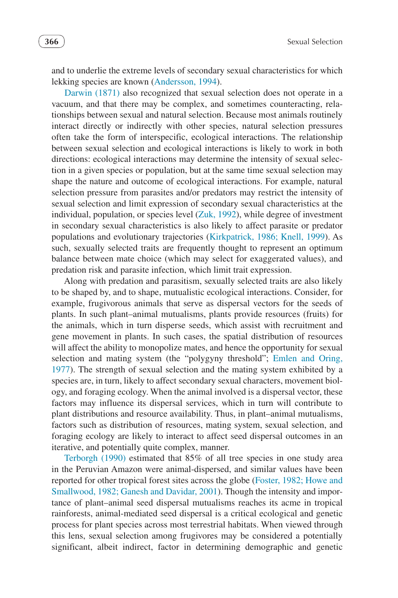and to underlie the extreme levels of secondary sexual characteristics for which lekking species are known [\(Andersson, 1994](#page-21-0)).

[Darwin \(1871\)](#page-21-1) also recognized that sexual selection does not operate in a vacuum, and that there may be complex, and sometimes counteracting, relationships between sexual and natural selection. Because most animals routinely interact directly or indirectly with other species, natural selection pressures often take the form of interspecific, ecological interactions. The relationship between sexual selection and ecological interactions is likely to work in both directions: ecological interactions may determine the intensity of sexual selection in a given species or population, but at the same time sexual selection may shape the nature and outcome of ecological interactions. For example, natural selection pressure from parasites and/or predators may restrict the intensity of sexual selection and limit expression of secondary sexual characteristics at the individual, population, or species level [\(Zuk, 1992](#page-25-1)), while degree of investment in secondary sexual characteristics is also likely to affect parasite or predator populations and evolutionary trajectories [\(Kirkpatrick, 1986; Knell, 1999\)](#page-23-1). As such, sexually selected traits are frequently thought to represent an optimum balance between mate choice (which may select for exaggerated values), and predation risk and parasite infection, which limit trait expression.

Along with predation and parasitism, sexually selected traits are also likely to be shaped by, and to shape, mutualistic ecological interactions. Consider, for example, frugivorous animals that serve as dispersal vectors for the seeds of plants. In such plant–animal mutualisms, plants provide resources (fruits) for the animals, which in turn disperse seeds, which assist with recruitment and gene movement in plants. In such cases, the spatial distribution of resources will affect the ability to monopolize mates, and hence the opportunity for sexual selection and mating system (the "polygyny threshold"; [Emlen and Oring,](#page-21-2) [1977](#page-21-2)). The strength of sexual selection and the mating system exhibited by a species are, in turn, likely to affect secondary sexual characters, movement biology, and foraging ecology. When the animal involved is a dispersal vector, these factors may influence its dispersal services, which in turn will contribute to plant distributions and resource availability. Thus, in plant–animal mutualisms, factors such as distribution of resources, mating system, sexual selection, and foraging ecology are likely to interact to affect seed dispersal outcomes in an iterative, and potentially quite complex, manner.

[Terborgh \(1990\)](#page-24-0) estimated that 85% of all tree species in one study area in the Peruvian Amazon were animal-dispersed, and similar values have been reported for other tropical forest sites across the globe ([Foster, 1982; Howe and](#page-22-0) [Smallwood, 1982; Ganesh and Davidar, 2001](#page-22-0)). Though the intensity and importance of plant–animal seed dispersal mutualisms reaches its acme in tropical rainforests, animal-mediated seed dispersal is a critical ecological and genetic process for plant species across most terrestrial habitats. When viewed through this lens, sexual selection among frugivores may be considered a potentially significant, albeit indirect, factor in determining demographic and genetic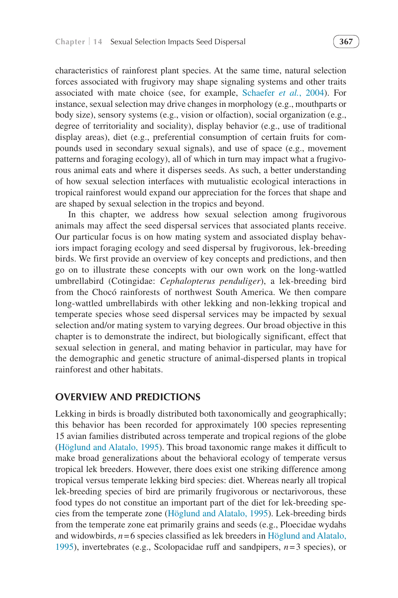characteristics of rainforest plant species. At the same time, natural selection forces associated with frugivory may shape signaling systems and other traits associated with mate choice (see, for example, [Schaefer](#page-24-1) *et al.*, 2004). For instance, sexual selection may drive changes in morphology (e.g., mouthparts or body size), sensory systems (e.g., vision or olfaction), social organization (e.g., degree of territoriality and sociality), display behavior (e.g., use of traditional display areas), diet (e.g., preferential consumption of certain fruits for compounds used in secondary sexual signals), and use of space (e.g., movement patterns and foraging ecology), all of which in turn may impact what a frugivorous animal eats and where it disperses seeds. As such, a better understanding of how sexual selection interfaces with mutualistic ecological interactions in tropical rainforest would expand our appreciation for the forces that shape and are shaped by sexual selection in the tropics and beyond.

In this chapter, we address how sexual selection among frugivorous animals may affect the seed dispersal services that associated plants receive. Our particular focus is on how mating system and associated display behaviors impact foraging ecology and seed dispersal by frugivorous, lek-breeding birds. We first provide an overview of key concepts and predictions, and then go on to illustrate these concepts with our own work on the long-wattled umbrellabird (Cotingidae: *Cephalopterus penduliger*), a lek-breeding bird from the Chocó rainforests of northwest South America. We then compare long-wattled umbrellabirds with other lekking and non-lekking tropical and temperate species whose seed dispersal services may be impacted by sexual selection and/or mating system to varying degrees. Our broad objective in this chapter is to demonstrate the indirect, but biologically significant, effect that sexual selection in general, and mating behavior in particular, may have for the demographic and genetic structure of animal-dispersed plants in tropical rainforest and other habitats.

#### **OVERVIEW AND PREDICTIONS**

Lekking in birds is broadly distributed both taxonomically and geographically; this behavior has been recorded for approximately 100 species representing 15 avian families distributed across temperate and tropical regions of the globe [\(Höglund and Alatalo, 1995\)](#page-22-1). This broad taxonomic range makes it difficult to make broad generalizations about the behavioral ecology of temperate versus tropical lek breeders. However, there does exist one striking difference among tropical versus temperate lekking bird species: diet. Whereas nearly all tropical lek-breeding species of bird are primarily frugivorous or nectarivorous, these food types do not constitue an important part of the diet for lek-breeding species from the temperate zone [\(Höglund and Alatalo, 1995\)](#page-22-1). Lek-breeding birds from the temperate zone eat primarily grains and seeds (e.g., Ploecidae wydahs and widowbirds, *n*=6 species classified as lek breeders in [Höglund and Alatalo,](#page-22-1) [1995](#page-22-1)), invertebrates (e.g., Scolopacidae ruff and sandpipers, *n*=3 species), or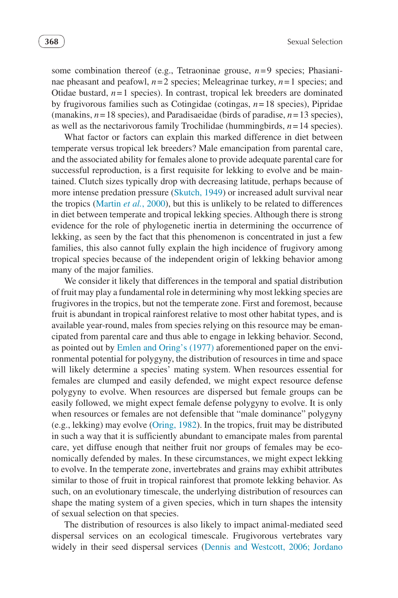some combination thereof (e.g., Tetraoninae grouse, *n*=9 species; Phasianinae pheasant and peafowl,  $n=2$  species; Meleagrinae turkey,  $n=1$  species; and Otidae bustard,  $n=1$  species). In contrast, tropical lek breeders are dominated by frugivorous families such as Cotingidae (cotingas, *n*=18 species), Pipridae (manakins,  $n = 18$  species), and Paradisaeidae (birds of paradise,  $n = 13$  species), as well as the nectarivorous family Trochilidae (hummingbirds,  $n = 14$  species).

What factor or factors can explain this marked difference in diet between temperate versus tropical lek breeders? Male emancipation from parental care, and the associated ability for females alone to provide adequate parental care for successful reproduction, is a first requisite for lekking to evolve and be maintained. Clutch sizes typically drop with decreasing latitude, perhaps because of more intense predation pressure ([Skutch, 1949\)](#page-24-2) or increased adult survival near the tropics [\(Martin](#page-23-2) *et al.*, 2000), but this is unlikely to be related to differences in diet between temperate and tropical lekking species. Although there is strong evidence for the role of phylogenetic inertia in determining the occurrence of lekking, as seen by the fact that this phenomenon is concentrated in just a few families, this also cannot fully explain the high incidence of frugivory among tropical species because of the independent origin of lekking behavior among many of the major families.

We consider it likely that differences in the temporal and spatial distribution of fruit may play a fundamental role in determining why most lekking species are frugivores in the tropics, but not the temperate zone. First and foremost, because fruit is abundant in tropical rainforest relative to most other habitat types, and is available year-round, males from species relying on this resource may be emancipated from parental care and thus able to engage in lekking behavior. Second, as pointed out by [Emlen and Oring's \(1977\)](#page-21-2) aforementioned paper on the environmental potential for polygyny, the distribution of resources in time and space will likely determine a species' mating system. When resources essential for females are clumped and easily defended, we might expect resource defense polygyny to evolve. When resources are dispersed but female groups can be easily followed, we might expect female defense polygyny to evolve. It is only when resources or females are not defensible that "male dominance" polygyny (e.g., lekking) may evolve [\(Oring, 1982](#page-23-3)). In the tropics, fruit may be distributed in such a way that it is sufficiently abundant to emancipate males from parental care, yet diffuse enough that neither fruit nor groups of females may be economically defended by males. In these circumstances, we might expect lekking to evolve. In the temperate zone, invertebrates and grains may exhibit attributes similar to those of fruit in tropical rainforest that promote lekking behavior. As such, on an evolutionary timescale, the underlying distribution of resources can shape the mating system of a given species, which in turn shapes the intensity of sexual selection on that species.

The distribution of resources is also likely to impact animal-mediated seed dispersal services on an ecological timescale. Frugivorous vertebrates vary widely in their seed dispersal services ([Dennis and Westcott, 2006; Jordano](#page-21-3)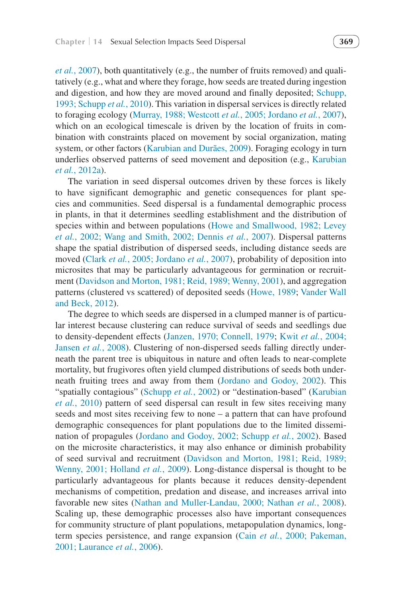*et al.*[, 2007\)](#page-21-3), both quantitatively (e.g., the number of fruits removed) and qualitatively (e.g., what and where they forage, how seeds are treated during ingestion and digestion, and how they are moved around and finally deposited; [Schupp,](#page-24-3) [1993; Schupp](#page-24-3) *et al.*, 2010). This variation in dispersal services is directly related to foraging ecology [\(Murray, 1988; Westcott](#page-23-4) *et al.*, 2005; Jordano *et al.*, 2007), which on an ecological timescale is driven by the location of fruits in combination with constraints placed on movement by social organization, mating system, or other factors [\(Karubian and Durães, 2009\)](#page-22-2). Foraging ecology in turn underlies observed patterns of seed movement and deposition (e.g., [Karubian](#page-23-5)  *et al.*[, 2012a](#page-23-5)).

The variation in seed dispersal outcomes driven by these forces is likely to have significant demographic and genetic consequences for plant species and communities. Seed dispersal is a fundamental demographic process in plants, in that it determines seedling establishment and the distribution of species within and between populations [\(Howe and Smallwood, 1982; Levey](#page-22-3)  *et al.*[, 2002; Wang and Smith, 2002; Dennis](#page-22-3) *et al.*, 2007). Dispersal patterns shape the spatial distribution of dispersed seeds, including distance seeds are moved (Clark *et al.*[, 2005; Jordano](#page-21-4) *et al.*, 2007), probability of deposition into microsites that may be particularly advantageous for germination or recruitment ([Davidson and Morton, 1981; Reid, 1989; Wenny, 2001\)](#page-21-5), and aggregation patterns (clustered vs scattered) of deposited seeds ([Howe, 1989](#page-22-4); [Vander Wall](#page-24-4)  [and Beck, 2012](#page-24-4)).

The degree to which seeds are dispersed in a clumped manner is of particular interest because clustering can reduce survival of seeds and seedlings due to density-dependent effects ([Janzen, 1970; Connell, 1979;](#page-22-5) Kwit *et al.*[, 2004;](#page-23-6)  [Jansen](#page-23-6) *et al.*, 2008). Clustering of non-dispersed seeds falling directly underneath the parent tree is ubiquitous in nature and often leads to near-complete mortality, but frugivores often yield clumped distributions of seeds both underneath fruiting trees and away from them ([Jordano and Godoy, 2002](#page-22-6)). This "spatially contagious" ([Schupp](#page-24-5) *et al.*, 2002) or "destination-based" ([Karubian](#page-23-7) *et al.*[, 2010](#page-23-7)) pattern of seed dispersal can result in few sites receiving many seeds and most sites receiving few to none – a pattern that can have profound demographic consequences for plant populations due to the limited dissemination of propagules ([Jordano and Godoy, 2002; Schupp](#page-22-6) *et al.*, 2002). Based on the microsite characteristics, it may also enhance or diminish probability of seed survival and recruitment ([Davidson and Morton, 1981; Reid, 1989;](#page-21-5)  [Wenny, 2001; Holland](#page-21-5) *et al.*, 2009). Long-distance dispersal is thought to be particularly advantageous for plants because it reduces density-dependent mechanisms of competition, predation and disease, and increases arrival into favorable new sites ([Nathan and Muller-Landau, 2000; Nathan](#page-23-8) *et al.*, 2008). Scaling up, these demographic processes also have important consequences for community structure of plant populations, metapopulation dynamics, longterm species persistence, and range expansion (Cain *et al.*[, 2000; Pakeman,](#page-21-6) [2001; Laurance](#page-21-6) *et al.*, 2006).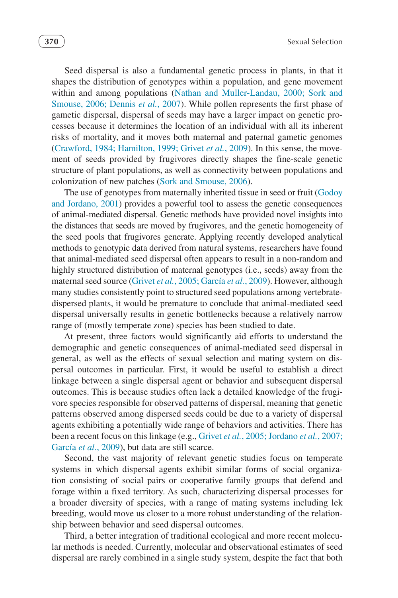Seed dispersal is also a fundamental genetic process in plants, in that it shapes the distribution of genotypes within a population, and gene movement within and among populations [\(Nathan and Muller-Landau, 2000; Sork and](#page-23-8) [Smouse, 2006; Dennis](#page-23-8) *et al.*, 2007). While pollen represents the first phase of gametic dispersal, dispersal of seeds may have a larger impact on genetic processes because it determines the location of an individual with all its inherent risks of mortality, and it moves both maternal and paternal gametic genomes [\(Crawford, 1984; Hamilton, 1999; Grivet](#page-21-7) *et al.*, 2009). In this sense, the movement of seeds provided by frugivores directly shapes the fine-scale genetic structure of plant populations, as well as connectivity between populations and colonization of new patches [\(Sork and Smouse, 2006](#page-24-6)).

The use of genotypes from maternally inherited tissue in seed or fruit [\(Godoy](#page-22-7) [and Jordano, 2001\)](#page-22-7) provides a powerful tool to assess the genetic consequences of animal-mediated dispersal. Genetic methods have provided novel insights into the distances that seeds are moved by frugivores, and the genetic homogeneity of the seed pools that frugivores generate. Applying recently developed analytical methods to genotypic data derived from natural systems, researchers have found that animal-mediated seed dispersal often appears to result in a non-random and highly structured distribution of maternal genotypes (i.e., seeds) away from the maternal seed source (Grivet *et al.*[, 2005; García](#page-22-8) *et al.*, 2009). However, although many studies consistently point to structured seed populations among vertebratedispersed plants, it would be premature to conclude that animal-mediated seed dispersal universally results in genetic bottlenecks because a relatively narrow range of (mostly temperate zone) species has been studied to date.

At present, three factors would significantly aid efforts to understand the demographic and genetic consequences of animal-mediated seed dispersal in general, as well as the effects of sexual selection and mating system on dispersal outcomes in particular. First, it would be useful to establish a direct linkage between a single dispersal agent or behavior and subsequent dispersal outcomes. This is because studies often lack a detailed knowledge of the frugivore species responsible for observed patterns of dispersal, meaning that genetic patterns observed among dispersed seeds could be due to a variety of dispersal agents exhibiting a potentially wide range of behaviors and activities. There has been a recent focus on this linkage (e.g., Grivet *et al.*[, 2005; Jordano](#page-22-8) *et al.*, 2007; [García](#page-22-8) *et al.*, 2009), but data are still scarce.

Second, the vast majority of relevant genetic studies focus on temperate systems in which dispersal agents exhibit similar forms of social organization consisting of social pairs or cooperative family groups that defend and forage within a fixed territory. As such, characterizing dispersal processes for a broader diversity of species, with a range of mating systems including lek breeding, would move us closer to a more robust understanding of the relationship between behavior and seed dispersal outcomes.

Third, a better integration of traditional ecological and more recent molecular methods is needed. Currently, molecular and observational estimates of seed dispersal are rarely combined in a single study system, despite the fact that both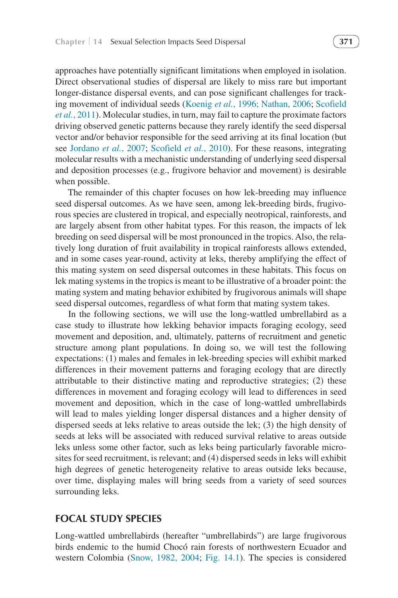approaches have potentially significant limitations when employed in isolation. Direct observational studies of dispersal are likely to miss rare but important longer-distance dispersal events, and can pose significant challenges for tracking movement of individual seeds (Koenig *et al.*[, 1996; Nathan, 2006](#page-23-9); [Scofield](#page-24-7) *et al.*[, 2011\)](#page-24-7). Molecular studies, in turn, may fail to capture the proximate factors driving observed genetic patterns because they rarely identify the seed dispersal vector and/or behavior responsible for the seed arriving at its final location (but see [Jordano](#page-22-9) *et al.*, 2007; [Scofield](#page-24-8) *et al.*, 2010). For these reasons, integrating molecular results with a mechanistic understanding of underlying seed dispersal and deposition processes (e.g., frugivore behavior and movement) is desirable when possible.

The remainder of this chapter focuses on how lek-breeding may influence seed dispersal outcomes. As we have seen, among lek-breeding birds, frugivorous species are clustered in tropical, and especially neotropical, rainforests, and are largely absent from other habitat types. For this reason, the impacts of lek breeding on seed dispersal will be most pronounced in the tropics. Also, the relatively long duration of fruit availability in tropical rainforests allows extended, and in some cases year-round, activity at leks, thereby amplifying the effect of this mating system on seed dispersal outcomes in these habitats. This focus on lek mating systems in the tropics is meant to be illustrative of a broader point: the mating system and mating behavior exhibited by frugivorous animals will shape seed dispersal outcomes, regardless of what form that mating system takes.

In the following sections, we will use the long-wattled umbrellabird as a case study to illustrate how lekking behavior impacts foraging ecology, seed movement and deposition, and, ultimately, patterns of recruitment and genetic structure among plant populations. In doing so, we will test the following expectations: (1) males and females in lek-breeding species will exhibit marked differences in their movement patterns and foraging ecology that are directly attributable to their distinctive mating and reproductive strategies; (2) these differences in movement and foraging ecology will lead to differences in seed movement and deposition, which in the case of long-wattled umbrellabirds will lead to males yielding longer dispersal distances and a higher density of dispersed seeds at leks relative to areas outside the lek; (3) the high density of seeds at leks will be associated with reduced survival relative to areas outside leks unless some other factor, such as leks being particularly favorable microsites for seed recruitment, is relevant; and (4) dispersed seeds in leks will exhibit high degrees of genetic heterogeneity relative to areas outside leks because, over time, displaying males will bring seeds from a variety of seed sources surrounding leks.

#### **FOCAL STUDY SPECIES**

Long-wattled umbrellabirds (hereafter "umbrellabirds") are large frugivorous birds endemic to the humid Chocó rain forests of northwestern Ecuador and western Colombia ([Snow, 1982, 2004](#page-24-9); [Fig. 14.1](#page-7-0)). The species is considered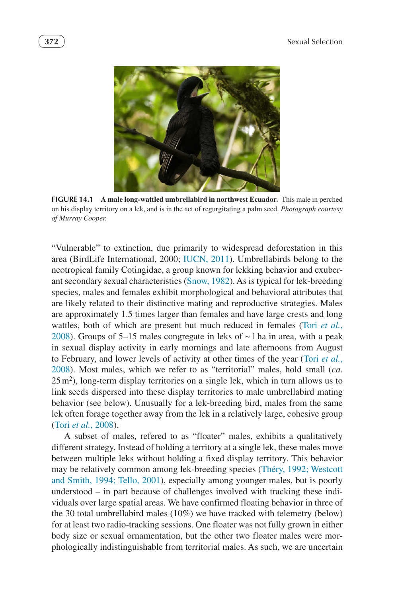

**FIGURE 14.1 A male long-wattled umbrellabird in northwest Ecuador.** This male in perched on his display territory on a lek, and is in the act of regurgitating a palm seed. *Photograph courtesy of Murray Cooper.*

<span id="page-7-0"></span>"Vulnerable" to extinction, due primarily to widespread deforestation in this area (BirdLife International, 2000; [IUCN, 2011\)](#page-22-10). Umbrellabirds belong to the neotropical family Cotingidae, a group known for lekking behavior and exuberant secondary sexual characteristics ([Snow, 1982](#page-24-9)). As is typical for lek-breeding species, males and females exhibit morphological and behavioral attributes that are likely related to their distinctive mating and reproductive strategies. Males are approximately 1.5 times larger than females and have large crests and long wattles, both of which are present but much reduced in females [\(Tori](#page-24-10) *et al.*, [2008](#page-24-10)). Groups of 5–15 males congregate in leks of ∼1ha in area, with a peak in sexual display activity in early mornings and late afternoons from August to February, and lower levels of activity at other times of the year ([Tori](#page-24-10) *et al.*, [2008](#page-24-10)). Most males, which we refer to as "territorial" males, hold small (*ca*.  $25 \text{ m}^2$ ), long-term display territories on a single lek, which in turn allows us to link seeds dispersed into these display territories to male umbrellabird mating behavior (see below). Unusually for a lek-breeding bird, males from the same lek often forage together away from the lek in a relatively large, cohesive group (Tori *et al.*[, 2008](#page-24-10)).

A subset of males, refered to as "floater" males, exhibits a qualitatively different strategy. Instead of holding a territory at a single lek, these males move between multiple leks without holding a fixed display territory. This behavior may be relatively common among lek-breeding species ([Théry, 1992; Westcott](#page-24-11) [and Smith, 1994; Tello, 2001](#page-24-11)), especially among younger males, but is poorly understood – in part because of challenges involved with tracking these individuals over large spatial areas. We have confirmed floating behavior in three of the 30 total umbrellabird males (10%) we have tracked with telemetry (below) for at least two radio-tracking sessions. One floater was not fully grown in either body size or sexual ornamentation, but the other two floater males were morphologically indistinguishable from territorial males. As such, we are uncertain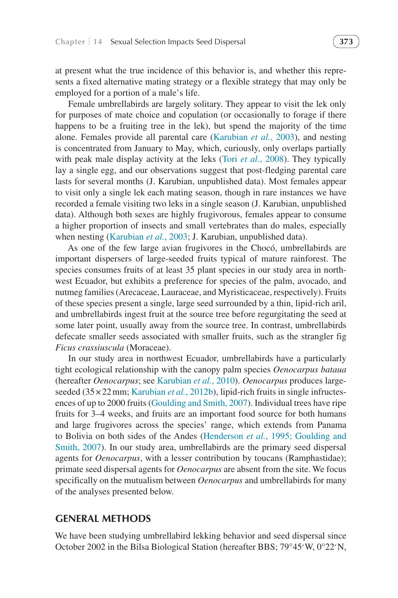at present what the true incidence of this behavior is, and whether this represents a fixed alternative mating strategy or a flexible strategy that may only be employed for a portion of a male's life.

Female umbrellabirds are largely solitary. They appear to visit the lek only for purposes of mate choice and copulation (or occasionally to forage if there happens to be a fruiting tree in the lek), but spend the majority of the time alone. Females provide all parental care ([Karubian](#page-22-11) *et al.*, 2003), and nesting is concentrated from January to May, which, curiously, only overlaps partially with peak male display activity at the leks (Tori *et al.*[, 2008](#page-24-10)). They typically lay a single egg, and our observations suggest that post-fledging parental care lasts for several months (J. Karubian, unpublished data). Most females appear to visit only a single lek each mating season, though in rare instances we have recorded a female visiting two leks in a single season (J. Karubian, unpublished data). Although both sexes are highly frugivorous, females appear to consume a higher proportion of insects and small vertebrates than do males, especially when nesting ([Karubian](#page-22-11) *et al.*, 2003; J. Karubian, unpublished data).

As one of the few large avian frugivores in the Chocó, umbrellabirds are important dispersers of large-seeded fruits typical of mature rainforest. The species consumes fruits of at least 35 plant species in our study area in northwest Ecuador, but exhibits a preference for species of the palm, avocado, and nutmeg families (Arecaceae, Lauraceae, and Myristicaceae, respectively). Fruits of these species present a single, large seed surrounded by a thin, lipid-rich aril, and umbrellabirds ingest fruit at the source tree before regurgitating the seed at some later point, usually away from the source tree. In contrast, umbrellabirds defecate smaller seeds associated with smaller fruits, such as the strangler fig *Ficus crassiuscula* (Moraceae).

In our study area in northwest Ecuador, umbrellabirds have a particularly tight ecological relationship with the canopy palm species *Oenocarpus bataua* (hereafter *Oenocarpus*; see [Karubian](#page-23-7) *et al.*, 2010). *Oenocarpus* produces largeseeded (35×22mm; [Karubian](#page-23-10) *et al.*, 2012b), lipid-rich fruits in single infructesences of up to 2000 fruits [\(Goulding and Smith, 2007\)](#page-22-12). Individual trees have ripe fruits for 3–4 weeks, and fruits are an important food source for both humans and large frugivores across the species' range, which extends from Panama to Bolivia on both sides of the Andes (Henderson *et al.*[, 1995; Goulding and](#page-22-13) [Smith, 2007\)](#page-22-13). In our study area, umbrellabirds are the primary seed dispersal agents for *Oenocarpus*, with a lesser contribution by toucans (Ramphastidae); primate seed dispersal agents for *Oenocarpus* are absent from the site. We focus specifically on the mutualism between *Oenocarpus* and umbrellabirds for many of the analyses presented below.

#### **GENERAL METHODS**

We have been studying umbrellabird lekking behavior and seed dispersal since October 2002 in the Bilsa Biological Station (hereafter BBS; 79°45′W, 0°22′N,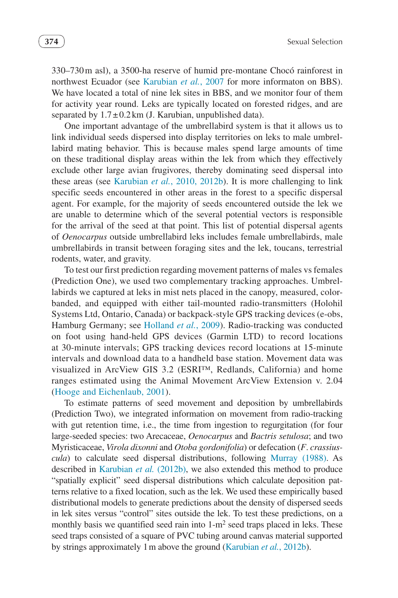**374** Sexual Selection

330–730m asl), a 3500-ha reserve of humid pre-montane Chocó rainforest in northwest Ecuador (see [Karubian](#page-23-11) *et al.*, 2007 for more informaton on BBS). We have located a total of nine lek sites in BBS, and we monitor four of them for activity year round. Leks are typically located on forested ridges, and are separated by  $1.7 \pm 0.2$  km (J. Karubian, unpublished data).

One important advantage of the umbrellabird system is that it allows us to link individual seeds dispersed into display territories on leks to male umbrellabird mating behavior. This is because males spend large amounts of time on these traditional display areas within the lek from which they effectively exclude other large avian frugivores, thereby dominating seed dispersal into these areas (see Karubian *et al.*[, 2010, 2012b](#page-23-7)). It is more challenging to link specific seeds encountered in other areas in the forest to a specific dispersal agent. For example, for the majority of seeds encountered outside the lek we are unable to determine which of the several potential vectors is responsible for the arrival of the seed at that point. This list of potential dispersal agents of *Oenocarpus* outside umbrellabird leks includes female umbrellabirds, male umbrellabirds in transit between foraging sites and the lek, toucans, terrestrial rodents, water, and gravity.

To test our first prediction regarding movement patterns of males vs females (Prediction One), we used two complementary tracking approaches. Umbrellabirds we captured at leks in mist nets placed in the canopy, measured, colorbanded, and equipped with either tail-mounted radio-transmitters (Holohil Systems Ltd, Ontario, Canada) or backpack-style GPS tracking devices (e-obs, Hamburg Germany; see [Holland](#page-22-14) *et al.*, 2009). Radio-tracking was conducted on foot using hand-held GPS devices (Garmin LTD) to record locations at 30-minute intervals; GPS tracking devices record locations at 15-minute intervals and download data to a handheld base station. Movement data was visualized in ArcView GIS 3.2 (ESRI™, Redlands, California) and home ranges estimated using the Animal Movement ArcView Extension v. 2.04 [\(Hooge and Eichenlaub, 2001](#page-22-15)).

To estimate patterns of seed movement and deposition by umbrellabirds (Prediction Two), we integrated information on movement from radio-tracking with gut retention time, i.e., the time from ingestion to regurgitation (for four large-seeded species: two Arecaceae, *Oenocarpus* and *Bactris setulosa*; and two Myristicaceae, *Virola dixonni* and *Otoba gordonifolia*) or defecation (*F*. *crassiuscula*) to calculate seed dispersal distributions, following [Murray \(1988\)](#page-23-4). As described in [Karubian](#page-23-10) *et al.* (2012b), we also extended this method to produce "spatially explicit" seed dispersal distributions which calculate deposition patterns relative to a fixed location, such as the lek. We used these empirically based distributional models to generate predictions about the density of dispersed seeds in lek sites versus "control" sites outside the lek. To test these predictions, on a monthly basis we quantified seed rain into 1-m<sup>2</sup> seed traps placed in leks. These seed traps consisted of a square of PVC tubing around canvas material supported by strings approximately 1m above the ground ([Karubian](#page-23-10) *et al.*, 2012b).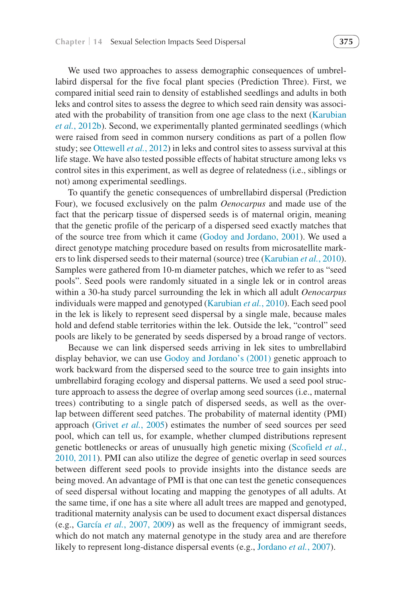We used two approaches to assess demographic consequences of umbrellabird dispersal for the five focal plant species (Prediction Three). First, we compared initial seed rain to density of established seedlings and adults in both leks and control sites to assess the degree to which seed rain density was associated with the probability of transition from one age class to the next ([Karubian](#page-23-10) *et al.*[, 2012b\)](#page-23-10). Second, we experimentally planted germinated seedlings (which were raised from seed in common nursery conditions as part of a pollen flow study; see [Ottewell](#page-23-12) *et al.*, 2012) in leks and control sites to assess survival at this life stage. We have also tested possible effects of habitat structure among leks vs control sites in this experiment, as well as degree of relatedness (i.e., siblings or not) among experimental seedlings.

To quantify the genetic consequences of umbrellabird dispersal (Prediction Four), we focused exclusively on the palm *Oenocarpus* and made use of the fact that the pericarp tissue of dispersed seeds is of maternal origin, meaning that the genetic profile of the pericarp of a dispersed seed exactly matches that of the source tree from which it came [\(Godoy and Jordano, 2001](#page-22-7)). We used a direct genotype matching procedure based on results from microsatellite markers to link dispersed seeds to their maternal (source) tree ([Karubian](#page-23-7) *et al.*, 2010). Samples were gathered from 10-m diameter patches, which we refer to as "seed pools". Seed pools were randomly situated in a single lek or in control areas within a 30-ha study parcel surrounding the lek in which all adult *Oenocarpus* individuals were mapped and genotyped [\(Karubian](#page-23-7) *et al.*, 2010). Each seed pool in the lek is likely to represent seed dispersal by a single male, because males hold and defend stable territories within the lek. Outside the lek, "control" seed pools are likely to be generated by seeds dispersed by a broad range of vectors.

Because we can link dispersed seeds arriving in lek sites to umbrellabird display behavior, we can use [Godoy and Jordano's \(2001\)](#page-22-7) genetic approach to work backward from the dispersed seed to the source tree to gain insights into umbrellabird foraging ecology and dispersal patterns. We used a seed pool structure approach to assess the degree of overlap among seed sources (i.e., maternal trees) contributing to a single patch of dispersed seeds, as well as the overlap between different seed patches. The probability of maternal identity (PMI) approach [\(Grivet](#page-22-8) *et al.*, 2005) estimates the number of seed sources per seed pool, which can tell us, for example, whether clumped distributions represent genetic bottlenecks or areas of unusually high genetic mixing ([Scofield](#page-24-7) *et al.*, [2010, 2011](#page-24-7)). PMI can also utilize the degree of genetic overlap in seed sources between different seed pools to provide insights into the distance seeds are being moved. An advantage of PMI is that one can test the genetic consequences of seed dispersal without locating and mapping the genotypes of all adults. At the same time, if one has a site where all adult trees are mapped and genotyped, traditional maternity analysis can be used to document exact dispersal distances (e.g., García *et al.*[, 2007, 2009](#page-22-16)) as well as the frequency of immigrant seeds, which do not match any maternal genotype in the study area and are therefore likely to represent long-distance dispersal events (e.g., [Jordano](#page-22-9) *et al.*, 2007).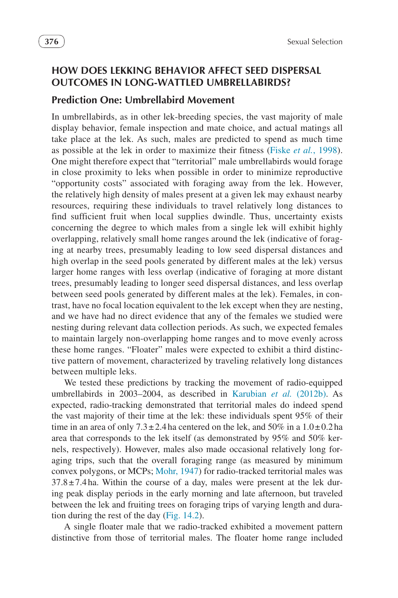# **HOW DOES LEKKING BEHAVIOR AFFECT SEED DISPERSAL OUTCOMES IN LONG-WATTLED UMBRELLABIRDS?**

### **Prediction One: Umbrellabird Movement**

In umbrellabirds, as in other lek-breeding species, the vast majority of male display behavior, female inspection and mate choice, and actual matings all take place at the lek. As such, males are predicted to spend as much time as possible at the lek in order to maximize their fitness (Fiske *et al.*[, 1998](#page-22-17)). One might therefore expect that "territorial" male umbrellabirds would forage in close proximity to leks when possible in order to minimize reproductive "opportunity costs" associated with foraging away from the lek. However, the relatively high density of males present at a given lek may exhaust nearby resources, requiring these individuals to travel relatively long distances to find sufficient fruit when local supplies dwindle. Thus, uncertainty exists concerning the degree to which males from a single lek will exhibit highly overlapping, relatively small home ranges around the lek (indicative of foraging at nearby trees, presumably leading to low seed dispersal distances and high overlap in the seed pools generated by different males at the lek) versus larger home ranges with less overlap (indicative of foraging at more distant trees, presumably leading to longer seed dispersal distances, and less overlap between seed pools generated by different males at the lek). Females, in contrast, have no focal location equivalent to the lek except when they are nesting, and we have had no direct evidence that any of the females we studied were nesting during relevant data collection periods. As such, we expected females to maintain largely non-overlapping home ranges and to move evenly across these home ranges. "Floater" males were expected to exhibit a third distinctive pattern of movement, characterized by traveling relatively long distances between multiple leks.

We tested these predictions by tracking the movement of radio-equipped umbrellabirds in 2003–2004, as described in [Karubian](#page-23-10) *et al.* (2012b). As expected, radio-tracking demonstrated that territorial males do indeed spend the vast majority of their time at the lek: these individuals spent 95% of their time in an area of only  $7.3 \pm 2.4$  ha centered on the lek, and  $50\%$  in a  $1.0 \pm 0.2$  ha area that corresponds to the lek itself (as demonstrated by 95% and 50% kernels, respectively). However, males also made occasional relatively long foraging trips, such that the overall foraging range (as measured by minimum convex polygons, or MCPs; [Mohr, 1947\)](#page-23-13) for radio-tracked territorial males was  $37.8 \pm 7.4$  ha. Within the course of a day, males were present at the lek during peak display periods in the early morning and late afternoon, but traveled between the lek and fruiting trees on foraging trips of varying length and duration during the rest of the day [\(Fig. 14.2\)](#page-12-0).

A single floater male that we radio-tracked exhibited a movement pattern distinctive from those of territorial males. The floater home range included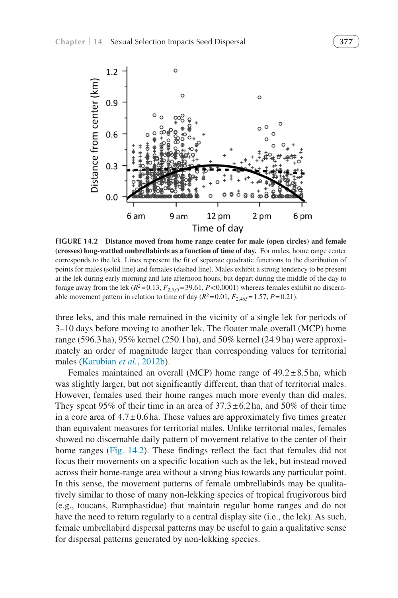

<span id="page-12-0"></span>**FIGURE 14.2 Distance moved from home range center for male (open circles) and female (crosses) long-wattled umbrellabirds as a function of time of day.** For males, home range center corresponds to the lek. Lines represent the fit of separate quadratic functions to the distribution of points for males (solid line) and females (dashed line). Males exhibit a strong tendency to be present at the lek during early morning and late afternoon hours, but depart during the middle of the day to forage away from the lek  $(R^2 = 0.13, F_{2,535} = 39.61, P < 0.0001)$  whereas females exhibit no discernable movement pattern in relation to time of day  $(R^2 = 0.01, F_{2.465} = 1.57, P = 0.21)$ .

three leks, and this male remained in the vicinity of a single lek for periods of 3–10 days before moving to another lek. The floater male overall (MCP) home range (596.3ha), 95% kernel (250.1 ha), and 50% kernel (24.9 ha) were approximately an order of magnitude larger than corresponding values for territorial males [\(Karubian](#page-23-10) *et al.*, 2012b).

Females maintained an overall (MCP) home range of  $49.2 \pm 8.5$  ha, which was slightly larger, but not significantly different, than that of territorial males. However, females used their home ranges much more evenly than did males. They spent 95% of their time in an area of  $37.3 \pm 6.2$  ha, and 50% of their time in a core area of  $4.7 \pm 0.6$  ha. These values are approximately five times greater than equivalent measures for territorial males. Unlike territorial males, females showed no discernable daily pattern of movement relative to the center of their home ranges [\(Fig. 14.2](#page-12-0)). These findings reflect the fact that females did not focus their movements on a specific location such as the lek, but instead moved across their home-range area without a strong bias towards any particular point. In this sense, the movement patterns of female umbrellabirds may be qualitatively similar to those of many non-lekking species of tropical frugivorous bird (e.g., toucans, Ramphastidae) that maintain regular home ranges and do not have the need to return regularly to a central display site (i.e., the lek). As such, female umbrellabird dispersal patterns may be useful to gain a qualitative sense for dispersal patterns generated by non-lekking species.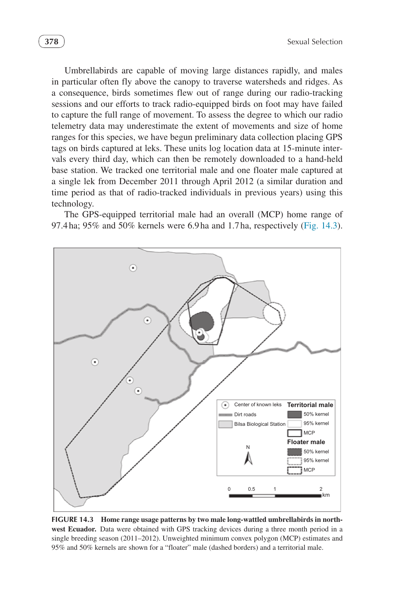Umbrellabirds are capable of moving large distances rapidly, and males in particular often fly above the canopy to traverse watersheds and ridges. As a consequence, birds sometimes flew out of range during our radio-tracking sessions and our efforts to track radio-equipped birds on foot may have failed to capture the full range of movement. To assess the degree to which our radio telemetry data may underestimate the extent of movements and size of home ranges for this species, we have begun preliminary data collection placing GPS tags on birds captured at leks. These units log location data at 15-minute intervals every third day, which can then be remotely downloaded to a hand-held base station. We tracked one territorial male and one floater male captured at a single lek from December 2011 through April 2012 (a similar duration and time period as that of radio-tracked individuals in previous years) using this technology.

The GPS-equipped territorial male had an overall (MCP) home range of 97.4ha; 95% and 50% kernels were 6.9ha and 1.7ha, respectively ([Fig. 14.3](#page-13-0)).



<span id="page-13-0"></span>**FIGURE 14.3 Home range usage patterns by two male long-wattled umbrellabirds in northwest Ecuador.** Data were obtained with GPS tracking devices during a three month period in a single breeding season (2011–2012). Unweighted minimum convex polygon (MCP) estimates and 95% and 50% kernels are shown for a "floater" male (dashed borders) and a territorial male.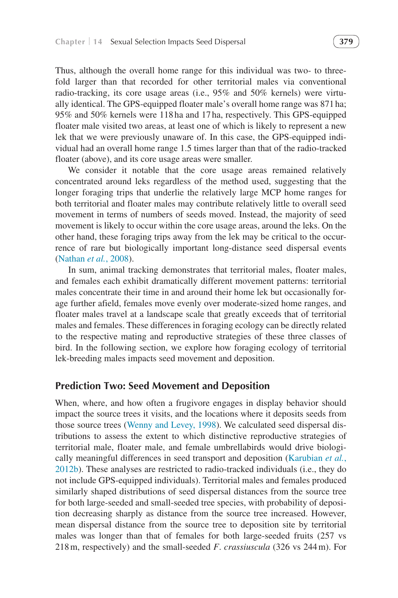Thus, although the overall home range for this individual was two- to threefold larger than that recorded for other territorial males via conventional radio-tracking, its core usage areas (i.e., 95% and 50% kernels) were virtually identical. The GPS-equipped floater male's overall home range was 871ha; 95% and 50% kernels were 118ha and 17ha, respectively. This GPS-equipped floater male visited two areas, at least one of which is likely to represent a new lek that we were previously unaware of. In this case, the GPS-equipped individual had an overall home range 1.5 times larger than that of the radio-tracked floater (above), and its core usage areas were smaller.

We consider it notable that the core usage areas remained relatively concentrated around leks regardless of the method used, suggesting that the longer foraging trips that underlie the relatively large MCP home ranges for both territorial and floater males may contribute relatively little to overall seed movement in terms of numbers of seeds moved. Instead, the majority of seed movement is likely to occur within the core usage areas, around the leks. On the other hand, these foraging trips away from the lek may be critical to the occurrence of rare but biologically important long-distance seed dispersal events [\(Nathan](#page-23-14) *et al.*, 2008).

In sum, animal tracking demonstrates that territorial males, floater males, and females each exhibit dramatically different movement patterns: territorial males concentrate their time in and around their home lek but occasionally forage further afield, females move evenly over moderate-sized home ranges, and floater males travel at a landscape scale that greatly exceeds that of territorial males and females. These differences in foraging ecology can be directly related to the respective mating and reproductive strategies of these three classes of bird. In the following section, we explore how foraging ecology of territorial lek-breeding males impacts seed movement and deposition.

## **Prediction Two: Seed Movement and Deposition**

When, where, and how often a frugivore engages in display behavior should impact the source trees it visits, and the locations where it deposits seeds from those source trees ([Wenny and Levey, 1998\)](#page-25-2). We calculated seed dispersal distributions to assess the extent to which distinctive reproductive strategies of territorial male, floater male, and female umbrellabirds would drive biologically meaningful differences in seed transport and deposition ([Karubian](#page-23-10) *et al.*, [2012b](#page-23-10)). These analyses are restricted to radio-tracked individuals (i.e., they do not include GPS-equipped individuals). Territorial males and females produced similarly shaped distributions of seed dispersal distances from the source tree for both large-seeded and small-seeded tree species, with probability of deposition decreasing sharply as distance from the source tree increased. However, mean dispersal distance from the source tree to deposition site by territorial males was longer than that of females for both large-seeded fruits (257 vs 218m, respectively) and the small-seeded *F*. *crassiuscula* (326 vs 244m). For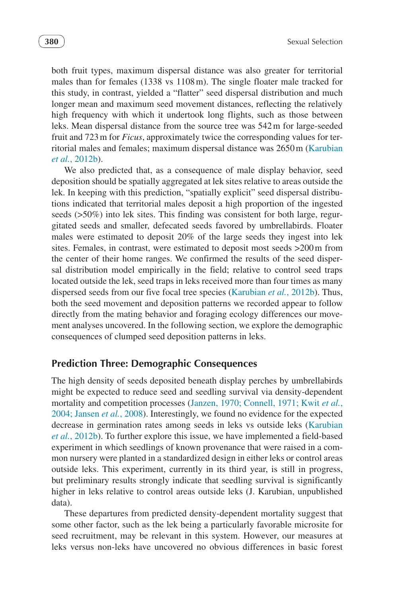both fruit types, maximum dispersal distance was also greater for territorial males than for females (1338 vs 1108m). The single floater male tracked for this study, in contrast, yielded a "flatter" seed dispersal distribution and much longer mean and maximum seed movement distances, reflecting the relatively high frequency with which it undertook long flights, such as those between leks. Mean dispersal distance from the source tree was 542m for large-seeded fruit and 723m for *Ficus*, approximately twice the corresponding values for territorial males and females; maximum dispersal distance was 2650m ([Karubian](#page-23-10) *et al.*[, 2012b\)](#page-23-10).

We also predicted that, as a consequence of male display behavior, seed deposition should be spatially aggregated at lek sites relative to areas outside the lek. In keeping with this prediction, "spatially explicit" seed dispersal distributions indicated that territorial males deposit a high proportion of the ingested seeds (>50%) into lek sites. This finding was consistent for both large, regurgitated seeds and smaller, defecated seeds favored by umbrellabirds. Floater males were estimated to deposit 20% of the large seeds they ingest into lek sites. Females, in contrast, were estimated to deposit most seeds >200m from the center of their home ranges. We confirmed the results of the seed dispersal distribution model empirically in the field; relative to control seed traps located outside the lek, seed traps in leks received more than four times as many dispersed seeds from our five focal tree species [\(Karubian](#page-23-10) *et al.*, 2012b). Thus, both the seed movement and deposition patterns we recorded appear to follow directly from the mating behavior and foraging ecology differences our movement analyses uncovered. In the following section, we explore the demographic consequences of clumped seed deposition patterns in leks.

## **Prediction Three: Demographic Consequences**

The high density of seeds deposited beneath display perches by umbrellabirds might be expected to reduce seed and seedling survival via density-dependent mortality and competition processes ([Janzen, 1970; Connell, 1971; Kwit](#page-22-5) *et al.*, [2004; Jansen](#page-22-5) *et al.*, 2008). Interestingly, we found no evidence for the expected decrease in germination rates among seeds in leks vs outside leks ([Karubian](#page-23-10)  *et al.*[, 2012b\)](#page-23-10). To further explore this issue, we have implemented a field-based experiment in which seedlings of known provenance that were raised in a common nursery were planted in a standardized design in either leks or control areas outside leks. This experiment, currently in its third year, is still in progress, but preliminary results strongly indicate that seedling survival is significantly higher in leks relative to control areas outside leks (J. Karubian, unpublished data).

These departures from predicted density-dependent mortality suggest that some other factor, such as the lek being a particularly favorable microsite for seed recruitment, may be relevant in this system. However, our measures at leks versus non-leks have uncovered no obvious differences in basic forest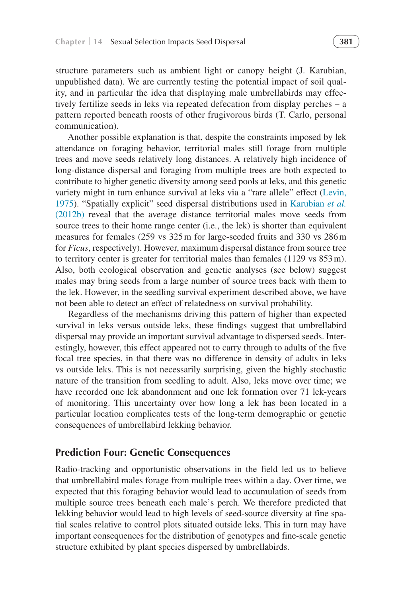structure parameters such as ambient light or canopy height (J. Karubian, unpublished data). We are currently testing the potential impact of soil quality, and in particular the idea that displaying male umbrellabirds may effectively fertilize seeds in leks via repeated defecation from display perches – a pattern reported beneath roosts of other frugivorous birds (T. Carlo, personal communication).

Another possible explanation is that, despite the constraints imposed by lek attendance on foraging behavior, territorial males still forage from multiple trees and move seeds relatively long distances. A relatively high incidence of long-distance dispersal and foraging from multiple trees are both expected to contribute to higher genetic diversity among seed pools at leks, and this genetic variety might in turn enhance survival at leks via a "rare allele" effect [\(Levin,](#page-23-15) [1975](#page-23-15)). "Spatially explicit" seed dispersal distributions used in [Karubian](#page-23-10) *et al.* [\(2012b\)](#page-23-10) reveal that the average distance territorial males move seeds from source trees to their home range center (i.e., the lek) is shorter than equivalent measures for females (259 vs 325m for large-seeded fruits and 330 vs 286m for *Ficus*, respectively). However, maximum dispersal distance from source tree to territory center is greater for territorial males than females (1129 vs 853m). Also, both ecological observation and genetic analyses (see below) suggest males may bring seeds from a large number of source trees back with them to the lek. However, in the seedling survival experiment described above, we have not been able to detect an effect of relatedness on survival probability.

Regardless of the mechanisms driving this pattern of higher than expected survival in leks versus outside leks, these findings suggest that umbrellabird dispersal may provide an important survival advantage to dispersed seeds. Interestingly, however, this effect appeared not to carry through to adults of the five focal tree species, in that there was no difference in density of adults in leks vs outside leks. This is not necessarily surprising, given the highly stochastic nature of the transition from seedling to adult. Also, leks move over time; we have recorded one lek abandonment and one lek formation over 71 lek-years of monitoring. This uncertainty over how long a lek has been located in a particular location complicates tests of the long-term demographic or genetic consequences of umbrellabird lekking behavior.

# **Prediction Four: Genetic Consequences**

Radio-tracking and opportunistic observations in the field led us to believe that umbrellabird males forage from multiple trees within a day. Over time, we expected that this foraging behavior would lead to accumulation of seeds from multiple source trees beneath each male's perch. We therefore predicted that lekking behavior would lead to high levels of seed-source diversity at fine spatial scales relative to control plots situated outside leks. This in turn may have important consequences for the distribution of genotypes and fine-scale genetic structure exhibited by plant species dispersed by umbrellabirds.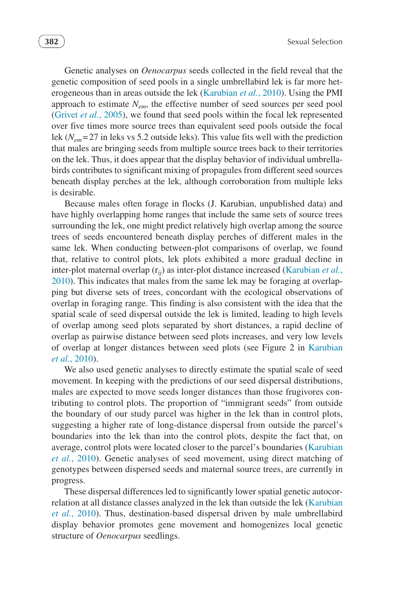Genetic analyses on *Oenocarpus* seeds collected in the field reveal that the genetic composition of seed pools in a single umbrellabird lek is far more heterogeneous than in areas outside the lek ([Karubian](#page-23-7) *et al.*, 2010). Using the PMI approach to estimate *Nem*, the effective number of seed sources per seed pool [\(Grivet](#page-22-8) *et al.*, 2005), we found that seed pools within the focal lek represented over five times more source trees than equivalent seed pools outside the focal lek  $(N_{em} = 27$  in leks vs 5.2 outside leks). This value fits well with the prediction that males are bringing seeds from multiple source trees back to their territories on the lek. Thus, it does appear that the display behavior of individual umbrellabirds contributes to significant mixing of propagules from different seed sources beneath display perches at the lek, although corroboration from multiple leks is desirable.

Because males often forage in flocks (J. Karubian, unpublished data) and have highly overlapping home ranges that include the same sets of source trees surrounding the lek, one might predict relatively high overlap among the source trees of seeds encountered beneath display perches of different males in the same lek. When conducting between-plot comparisons of overlap, we found that, relative to control plots, lek plots exhibited a more gradual decline in inter-plot maternal overlap (r*ij*) as inter-plot distance increased ([Karubian](#page-23-7) *et al.*, [2010](#page-23-7)). This indicates that males from the same lek may be foraging at overlapping but diverse sets of trees, concordant with the ecological observations of overlap in foraging range. This finding is also consistent with the idea that the spatial scale of seed dispersal outside the lek is limited, leading to high levels of overlap among seed plots separated by short distances, a rapid decline of overlap as pairwise distance between seed plots increases, and very low levels of overlap at longer distances between seed plots (see Figure 2 in [Karubian](#page-23-7) *et al.*[, 2010\)](#page-23-7).

We also used genetic analyses to directly estimate the spatial scale of seed movement. In keeping with the predictions of our seed dispersal distributions, males are expected to move seeds longer distances than those frugivores contributing to control plots. The proportion of "immigrant seeds" from outside the boundary of our study parcel was higher in the lek than in control plots, suggesting a higher rate of long-distance dispersal from outside the parcel's boundaries into the lek than into the control plots, despite the fact that, on average, control plots were located closer to the parcel's boundaries [\(Karubian](#page-23-7)  *et al.*[, 2010](#page-23-7)). Genetic analyses of seed movement, using direct matching of genotypes between dispersed seeds and maternal source trees, are currently in progress.

These dispersal differences led to significantly lower spatial genetic autocorrelation at all distance classes analyzed in the lek than outside the lek ([Karubian](#page-23-7) *et al.*[, 2010](#page-23-7)). Thus, destination-based dispersal driven by male umbrellabird display behavior promotes gene movement and homogenizes local genetic structure of *Oenocarpus* seedlings.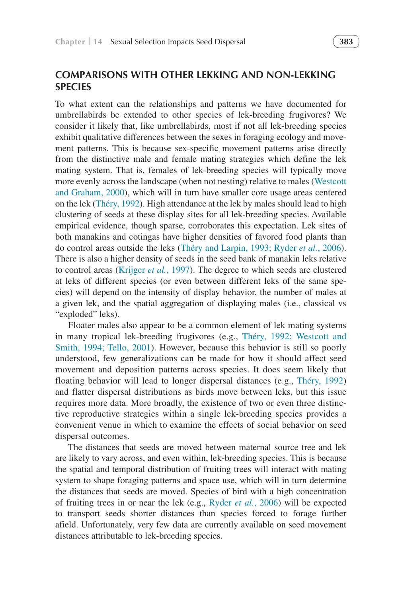# **COMPARISONS WITH OTHER LEKKING AND NON-LEKKING SPECIES**

To what extent can the relationships and patterns we have documented for umbrellabirds be extended to other species of lek-breeding frugivores? We consider it likely that, like umbrellabirds, most if not all lek-breeding species exhibit qualitative differences between the sexes in foraging ecology and movement patterns. This is because sex-specific movement patterns arise directly from the distinctive male and female mating strategies which define the lek mating system. That is, females of lek-breeding species will typically move more evenly across the landscape (when not nesting) relative to males [\(Westcott](#page-25-3) [and Graham, 2000\)](#page-25-3), which will in turn have smaller core usage areas centered on the lek ([Théry, 1992\)](#page-24-11). High attendance at the lek by males should lead to high clustering of seeds at these display sites for all lek-breeding species. Available empirical evidence, though sparse, corroborates this expectation. Lek sites of both manakins and cotingas have higher densities of favored food plants than do control areas outside the leks [\(Théry and Larpin, 1993; Ryder](#page-24-12) *et al.*, 2006). There is also a higher density of seeds in the seed bank of manakin leks relative to control areas ([Krijger](#page-23-16) *et al.*, 1997). The degree to which seeds are clustered at leks of different species (or even between different leks of the same species) will depend on the intensity of display behavior, the number of males at a given lek, and the spatial aggregation of displaying males (i.e., classical vs "exploded" leks).

Floater males also appear to be a common element of lek mating systems in many tropical lek-breeding frugivores (e.g., [Théry, 1992; Westcott and](#page-24-11)  [Smith, 1994; Tello, 2001\)](#page-24-11). However, because this behavior is still so poorly understood, few generalizations can be made for how it should affect seed movement and deposition patterns across species. It does seem likely that floating behavior will lead to longer dispersal distances (e.g., [Théry, 1992\)](#page-24-11) and flatter dispersal distributions as birds move between leks, but this issue requires more data. More broadly, the existence of two or even three distinctive reproductive strategies within a single lek-breeding species provides a convenient venue in which to examine the effects of social behavior on seed dispersal outcomes.

The distances that seeds are moved between maternal source tree and lek are likely to vary across, and even within, lek-breeding species. This is because the spatial and temporal distribution of fruiting trees will interact with mating system to shape foraging patterns and space use, which will in turn determine the distances that seeds are moved. Species of bird with a high concentration of fruiting trees in or near the lek (e.g., [Ryder](#page-24-13) *et al.*, 2006) will be expected to transport seeds shorter distances than species forced to forage further afield. Unfortunately, very few data are currently available on seed movement distances attributable to lek-breeding species.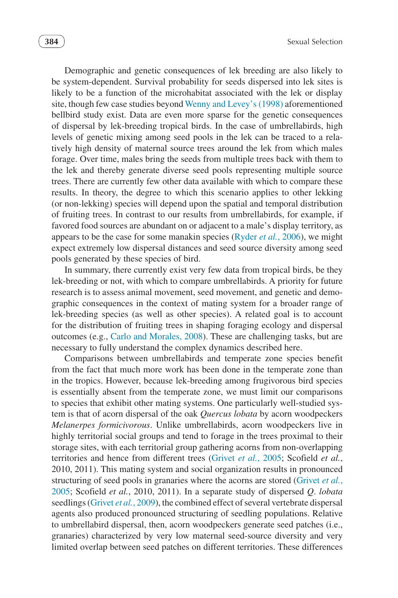Demographic and genetic consequences of lek breeding are also likely to be system-dependent. Survival probability for seeds dispersed into lek sites is likely to be a function of the microhabitat associated with the lek or display site, though few case studies beyond [Wenny and Levey's \(1998\)](#page-25-2) aforementioned bellbird study exist. Data are even more sparse for the genetic consequences of dispersal by lek-breeding tropical birds. In the case of umbrellabirds, high levels of genetic mixing among seed pools in the lek can be traced to a relatively high density of maternal source trees around the lek from which males forage. Over time, males bring the seeds from multiple trees back with them to the lek and thereby generate diverse seed pools representing multiple source trees. There are currently few other data available with which to compare these results. In theory, the degree to which this scenario applies to other lekking (or non-lekking) species will depend upon the spatial and temporal distribution of fruiting trees. In contrast to our results from umbrellabirds, for example, if favored food sources are abundant on or adjacent to a male's display territory, as appears to be the case for some manakin species ([Ryder](#page-24-13) *et al.*, 2006), we might expect extremely low dispersal distances and seed source diversity among seed pools generated by these species of bird.

In summary, there currently exist very few data from tropical birds, be they lek-breeding or not, with which to compare umbrellabirds. A priority for future research is to assess animal movement, seed movement, and genetic and demographic consequences in the context of mating system for a broader range of lek-breeding species (as well as other species). A related goal is to account for the distribution of fruiting trees in shaping foraging ecology and dispersal outcomes (e.g., [Carlo and Morales, 2008](#page-21-8)). These are challenging tasks, but are necessary to fully understand the complex dynamics described here.

Comparisons between umbrellabirds and temperate zone species benefit from the fact that much more work has been done in the temperate zone than in the tropics. However, because lek-breeding among frugivorous bird species is essentially absent from the temperate zone, we must limit our comparisons to species that exhibit other mating systems. One particularly well-studied system is that of acorn dispersal of the oak *Quercus lobata* by acorn woodpeckers *Melanerpes formicivorous*. Unlike umbrellabirds, acorn woodpeckers live in highly territorial social groups and tend to forage in the trees proximal to their storage sites, with each territorial group gathering acorns from non-overlapping territories and hence from different trees ([Grivet](#page-22-8) *et al.*, 2005; Scofield *et al.*, 2010, 2011). This mating system and social organization results in pronounced structuring of seed pools in granaries where the acorns are stored ([Grivet](#page-22-8) *et al.*, [2005](#page-22-8); Scofield *et al.*, 2010, 2011). In a separate study of dispersed *Q*. *lobata* seedlings [\(Grivet](#page-22-18) *et al.*, 2009), the combined effect of several vertebrate dispersal agents also produced pronounced structuring of seedling populations. Relative to umbrellabird dispersal, then, acorn woodpeckers generate seed patches (i.e., granaries) characterized by very low maternal seed-source diversity and very limited overlap between seed patches on different territories. These differences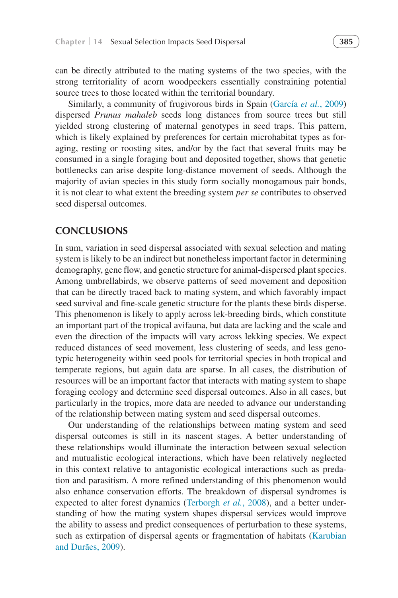can be directly attributed to the mating systems of the two species, with the strong territoriality of acorn woodpeckers essentially constraining potential source trees to those located within the territorial boundary.

Similarly, a community of frugivorous birds in Spain ([García](#page-22-19) *et al.*, 2009) dispersed *Prunus mahaleb* seeds long distances from source trees but still yielded strong clustering of maternal genotypes in seed traps. This pattern, which is likely explained by preferences for certain microhabitat types as foraging, resting or roosting sites, and/or by the fact that several fruits may be consumed in a single foraging bout and deposited together, shows that genetic bottlenecks can arise despite long-distance movement of seeds. Although the majority of avian species in this study form socially monogamous pair bonds, it is not clear to what extent the breeding system *per se* contributes to observed seed dispersal outcomes.

#### **CONCLUSIONS**

In sum, variation in seed dispersal associated with sexual selection and mating system is likely to be an indirect but nonetheless important factor in determining demography, gene flow, and genetic structure for animal-dispersed plant species. Among umbrellabirds, we observe patterns of seed movement and deposition that can be directly traced back to mating system, and which favorably impact seed survival and fine-scale genetic structure for the plants these birds disperse. This phenomenon is likely to apply across lek-breeding birds, which constitute an important part of the tropical avifauna, but data are lacking and the scale and even the direction of the impacts will vary across lekking species. We expect reduced distances of seed movement, less clustering of seeds, and less genotypic heterogeneity within seed pools for territorial species in both tropical and temperate regions, but again data are sparse. In all cases, the distribution of resources will be an important factor that interacts with mating system to shape foraging ecology and determine seed dispersal outcomes. Also in all cases, but particularly in the tropics, more data are needed to advance our understanding of the relationship between mating system and seed dispersal outcomes.

Our understanding of the relationships between mating system and seed dispersal outcomes is still in its nascent stages. A better understanding of these relationships would illuminate the interaction between sexual selection and mutualistic ecological interactions, which have been relatively neglected in this context relative to antagonistic ecological interactions such as predation and parasitism. A more refined understanding of this phenomenon would also enhance conservation efforts. The breakdown of dispersal syndromes is expected to alter forest dynamics [\(Terborgh](#page-24-14) *et al.*, 2008), and a better understanding of how the mating system shapes dispersal services would improve the ability to assess and predict consequences of perturbation to these systems, such as extirpation of dispersal agents or fragmentation of habitats ([Karubian](#page-22-2)  [and Durães, 2009](#page-22-2)).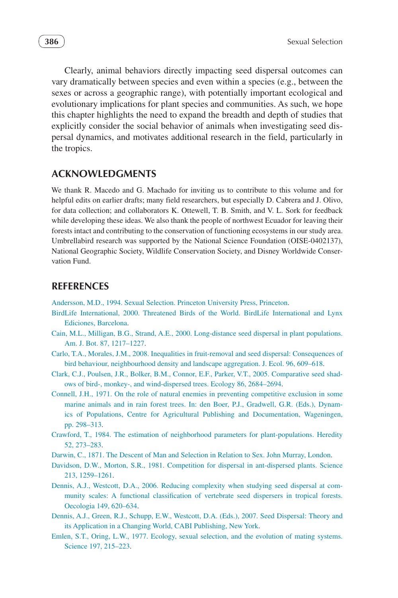Clearly, animal behaviors directly impacting seed dispersal outcomes can vary dramatically between species and even within a species (e.g., between the sexes or across a geographic range), with potentially important ecological and evolutionary implications for plant species and communities. As such, we hope this chapter highlights the need to expand the breadth and depth of studies that explicitly consider the social behavior of animals when investigating seed dispersal dynamics, and motivates additional research in the field, particularly in the tropics.

## **ACKNOWLEDGMENTS**

We thank R. Macedo and G. Machado for inviting us to contribute to this volume and for helpful edits on earlier drafts; many field researchers, but especially D. Cabrera and J. Olivo, for data collection; and collaborators K. Ottewell, T. B. Smith, and V. L. Sork for feedback while developing these ideas. We also thank the people of northwest Ecuador for leaving their forests intact and contributing to the conservation of functioning ecosystems in our study area. Umbrellabird research was supported by the National Science Foundation (OISE-0402137), National Geographic Society, Wildlife Conservation Society, and Disney Worldwide Conservation Fund.

## **REFERENCES**

<span id="page-21-0"></span>[Andersson, M.D., 1994. Sexual Selection. Princeton University Press, Princeton](http://refhub.elsevier.com/B978-0-12-416028-6.00014-1/ref0010).

- [BirdLife International, 2000. Threatened Birds of the World. BirdLife International and Lynx](http://refhub.elsevier.com/B978-0-12-416028-6.00014-1/ref0015)  [Ediciones, Barcelona.](http://refhub.elsevier.com/B978-0-12-416028-6.00014-1/ref0015)
- <span id="page-21-6"></span>[Cain, M.L., Milligan, B.G., Strand, A.E., 2000. Long-distance seed dispersal in plant populations.](http://refhub.elsevier.com/B978-0-12-416028-6.00014-1/ref0020) [Am. J. Bot. 87, 1217–1227.](http://refhub.elsevier.com/B978-0-12-416028-6.00014-1/ref0020)
- <span id="page-21-8"></span>[Carlo, T.A., Morales, J.M., 2008. Inequalities in fruit-removal and seed dispersal: Consequences of](http://refhub.elsevier.com/B978-0-12-416028-6.00014-1/ref0025) [bird behaviour, neighbourhood density and landscape aggregation. J. Ecol. 96, 609–618](http://refhub.elsevier.com/B978-0-12-416028-6.00014-1/ref0025).
- <span id="page-21-4"></span>[Clark, C.J., Poulsen, J.R., Bolker, B.M., Connor, E.F., Parker, V.T., 2005. Comparative seed shad](http://refhub.elsevier.com/B978-0-12-416028-6.00014-1/ref0030)[ows of bird-, monkey-, and wind-dispersed trees. Ecology 86, 2684–2694](http://refhub.elsevier.com/B978-0-12-416028-6.00014-1/ref0030).
- [Connell, J.H., 1971. On the role of natural enemies in preventing competitive exclusion in some](http://refhub.elsevier.com/B978-0-12-416028-6.00014-1/ref0035)  [marine animals and in rain forest trees. In: den Boer, P.J., Gradwell, G.R. \(Eds.\), Dynam](http://refhub.elsevier.com/B978-0-12-416028-6.00014-1/ref0035)[ics of Populations, Centre for Agricultural Publishing and Documentation, Wageningen,](http://refhub.elsevier.com/B978-0-12-416028-6.00014-1/ref0035)  [pp. 298–313](http://refhub.elsevier.com/B978-0-12-416028-6.00014-1/ref0035).
- <span id="page-21-7"></span>[Crawford, T., 1984. The estimation of neighborhood parameters for plant-populations. Heredity](http://refhub.elsevier.com/B978-0-12-416028-6.00014-1/ref0040)  [52, 273–283.](http://refhub.elsevier.com/B978-0-12-416028-6.00014-1/ref0040)
- <span id="page-21-1"></span>[Darwin, C., 1871. The Descent of Man and Selection in Relation to Sex. John Murray, London.](http://refhub.elsevier.com/B978-0-12-416028-6.00014-1/ref0045)
- <span id="page-21-5"></span>[Davidson, D.W., Morton, S.R., 1981. Competition for dispersal in ant-dispersed plants. Science](http://refhub.elsevier.com/B978-0-12-416028-6.00014-1/ref0050)  [213, 1259–1261.](http://refhub.elsevier.com/B978-0-12-416028-6.00014-1/ref0050)
- <span id="page-21-3"></span>[Dennis, A.J., Westcott, D.A., 2006. Reducing complexity when studying seed dispersal at com](http://refhub.elsevier.com/B978-0-12-416028-6.00014-1/ref0055)[munity scales: A functional classification of vertebrate seed dispersers in tropical forests.](http://refhub.elsevier.com/B978-0-12-416028-6.00014-1/ref0055)  [Oecologia 149, 620–634.](http://refhub.elsevier.com/B978-0-12-416028-6.00014-1/ref0055)
- [Dennis, A.J., Green, R.J., Schupp, E.W., Westcott, D.A. \(Eds.\), 2007. Seed Dispersal: Theory and](http://refhub.elsevier.com/B978-0-12-416028-6.00014-1/ref0060) [its Application in a Changing World, CABI Publishing, New York](http://refhub.elsevier.com/B978-0-12-416028-6.00014-1/ref0060).
- <span id="page-21-2"></span>[Emlen, S.T., Oring, L.W., 1977. Ecology, sexual selection, and the evolution of mating systems.](http://refhub.elsevier.com/B978-0-12-416028-6.00014-1/ref0065)  [Science 197, 215–223.](http://refhub.elsevier.com/B978-0-12-416028-6.00014-1/ref0065)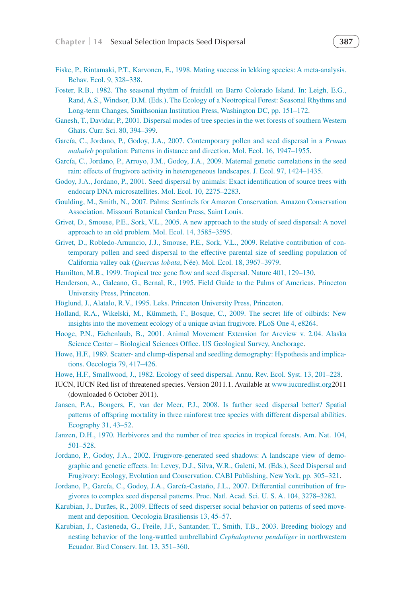- <span id="page-22-17"></span>[Fiske, P., Rintamaki, P.T., Karvonen, E., 1998. Mating success in lekking species: A meta-analysis.](http://refhub.elsevier.com/B978-0-12-416028-6.00014-1/ref0070)  [Behav. Ecol. 9, 328–338](http://refhub.elsevier.com/B978-0-12-416028-6.00014-1/ref0070).
- <span id="page-22-0"></span>[Foster, R.B., 1982. The seasonal rhythm of fruitfall on Barro Colorado Island. In: Leigh, E.G.,](http://refhub.elsevier.com/B978-0-12-416028-6.00014-1/ref0075) [Rand, A.S., Windsor, D.M. \(Eds.\), The Ecology of a Neotropical Forest: Seasonal Rhythms and](http://refhub.elsevier.com/B978-0-12-416028-6.00014-1/ref0075) [Long-term Changes, Smithsonian Institution Press, Washington DC, pp. 151–172](http://refhub.elsevier.com/B978-0-12-416028-6.00014-1/ref0075).
- [Ganesh, T., Davidar, P., 2001. Dispersal modes of tree species in the wet forests of southern Western](http://refhub.elsevier.com/B978-0-12-416028-6.00014-1/ref0080)  [Ghats. Curr. Sci. 80, 394–399](http://refhub.elsevier.com/B978-0-12-416028-6.00014-1/ref0080).
- <span id="page-22-16"></span>[García, C., Jordano, P., Godoy, J.A., 2007. Contemporary pollen and seed dispersal in a](http://refhub.elsevier.com/B978-0-12-416028-6.00014-1/ref0085) *Prunus mahaleb* [population: Patterns in distance and direction. Mol. Ecol. 16, 1947–1955](http://refhub.elsevier.com/B978-0-12-416028-6.00014-1/ref0085).
- <span id="page-22-19"></span>[García, C., Jordano, P., Arroyo, J.M., Godoy, J.A., 2009. Maternal genetic correlations in the seed](http://refhub.elsevier.com/B978-0-12-416028-6.00014-1/ref0090)  [rain: effects of frugivore activity in heterogeneous landscapes. J. Ecol. 97, 1424–1435.](http://refhub.elsevier.com/B978-0-12-416028-6.00014-1/ref0090)
- <span id="page-22-7"></span>[Godoy, J.A., Jordano, P., 2001. Seed dispersal by animals: Exact identification of source trees with](http://refhub.elsevier.com/B978-0-12-416028-6.00014-1/ref0095) [endocarp DNA microsatellites. Mol. Ecol. 10, 2275–2283](http://refhub.elsevier.com/B978-0-12-416028-6.00014-1/ref0095).
- <span id="page-22-12"></span>[Goulding, M., Smith, N., 2007. Palms: Sentinels for Amazon Conservation. Amazon Conservation](http://refhub.elsevier.com/B978-0-12-416028-6.00014-1/ref0100)  [Association. Missouri Botanical Garden Press, Saint Louis.](http://refhub.elsevier.com/B978-0-12-416028-6.00014-1/ref0100)
- <span id="page-22-8"></span>[Grivet, D., Smouse, P.E., Sork, V.L., 2005. A new approach to the study of seed dispersal: A novel](http://refhub.elsevier.com/B978-0-12-416028-6.00014-1/ref0105) [approach to an old problem. Mol. Ecol. 14, 3585–3595.](http://refhub.elsevier.com/B978-0-12-416028-6.00014-1/ref0105)
- <span id="page-22-18"></span>[Grivet, D., Robledo-Arnuncio, J.J., Smouse, P.E., Sork, V.L., 2009. Relative contribution of con](http://refhub.elsevier.com/B978-0-12-416028-6.00014-1/ref0110)[temporary pollen and seed dispersal to the effective parental size of seedling population of](http://refhub.elsevier.com/B978-0-12-416028-6.00014-1/ref0110)  California valley oak (*Quercus lobata*[, Née\). Mol. Ecol. 18, 3967–3979.](http://refhub.elsevier.com/B978-0-12-416028-6.00014-1/ref0110)
- [Hamilton, M.B., 1999. Tropical tree gene flow and seed dispersal. Nature 401, 129–130](http://refhub.elsevier.com/B978-0-12-416028-6.00014-1/ref0115).
- <span id="page-22-13"></span>[Henderson, A., Galeano, G., Bernal, R., 1995. Field Guide to the Palms of Americas. Princeton](http://refhub.elsevier.com/B978-0-12-416028-6.00014-1/ref0120)  [University Press, Princeton](http://refhub.elsevier.com/B978-0-12-416028-6.00014-1/ref0120).
- <span id="page-22-1"></span>[Höglund, J., Alatalo, R.V., 1995. Leks. Princeton University Press, Princeton.](http://refhub.elsevier.com/B978-0-12-416028-6.00014-1/ref0125)
- <span id="page-22-14"></span>[Holland, R.A., Wikelski, M., Kümmeth, F., Bosque, C., 2009. The secret life of oilbirds: New](http://refhub.elsevier.com/B978-0-12-416028-6.00014-1/ref0130) [insights into the movement ecology of a unique avian frugivore. PLoS One 4, e8264](http://refhub.elsevier.com/B978-0-12-416028-6.00014-1/ref0130).
- <span id="page-22-15"></span>[Hooge, P.N., Eichenlaub, B., 2001. Animal Movement Extension for Arcview v. 2.04. Alaska](http://refhub.elsevier.com/B978-0-12-416028-6.00014-1/ref0135)  [Science Center – Biological Sciences Office. US Geological Survey, Anchorage](http://refhub.elsevier.com/B978-0-12-416028-6.00014-1/ref0135).
- <span id="page-22-4"></span>[Howe, H.F., 1989. Scatter- and clump-dispersal and seedling demography: Hypothesis and implica](http://refhub.elsevier.com/B978-0-12-416028-6.00014-1/ref0140)[tions. Oecologia 79, 417–426](http://refhub.elsevier.com/B978-0-12-416028-6.00014-1/ref0140).
- <span id="page-22-3"></span>[Howe, H.F., Smallwood, J., 1982. Ecology of seed dispersal. Annu. Rev. Ecol. Syst. 13, 201–228.](http://refhub.elsevier.com/B978-0-12-416028-6.00014-1/ref0145)
- <span id="page-22-10"></span>IUCN, IUCN Red list of threatened species. Version 2011.1. Available at [www.iucnredlist.org](http://www.iucnredlist.org)2011 (downloaded 6 October 2011).
- [Jansen, P.A., Bongers, F., van der Meer, P.J., 2008. Is farther seed dispersal better? Spatial](http://refhub.elsevier.com/B978-0-12-416028-6.00014-1/ref0155) [patterns of offspring mortality in three rainforest tree species with different dispersal abilities.](http://refhub.elsevier.com/B978-0-12-416028-6.00014-1/ref0155)  [Ecography 31, 43–52.](http://refhub.elsevier.com/B978-0-12-416028-6.00014-1/ref0155)
- <span id="page-22-5"></span>[Janzen, D.H., 1970. Herbivores and the number of tree species in tropical forests. Am. Nat. 104,](http://refhub.elsevier.com/B978-0-12-416028-6.00014-1/ref0160) [501–528.](http://refhub.elsevier.com/B978-0-12-416028-6.00014-1/ref0160)
- <span id="page-22-6"></span>[Jordano, P., Godoy, J.A., 2002. Frugivore-generated seed shadows: A landscape view of demo](http://refhub.elsevier.com/B978-0-12-416028-6.00014-1/ref0165)[graphic and genetic effects. In: Levey, D.J., Silva, W.R., Galetti, M. \(Eds.\), Seed Dispersal and](http://refhub.elsevier.com/B978-0-12-416028-6.00014-1/ref0165) [Frugivory: Ecology, Evolution and Conservation. CABI Publishing, New York, pp. 305–321.](http://refhub.elsevier.com/B978-0-12-416028-6.00014-1/ref0165)
- <span id="page-22-9"></span>[Jordano, P., García, C., Godoy, J.A., García-Castaño, J.L., 2007. Differential contribution of fru](http://refhub.elsevier.com/B978-0-12-416028-6.00014-1/ref0170)[givores to complex seed dispersal patterns. Proc. Natl. Acad. Sci. U. S. A. 104, 3278–3282](http://refhub.elsevier.com/B978-0-12-416028-6.00014-1/ref0170).
- <span id="page-22-2"></span>[Karubian, J., Durães, R., 2009. Effects of seed disperser social behavior on patterns of seed move](http://refhub.elsevier.com/B978-0-12-416028-6.00014-1/ref0175)[ment and deposition. Oecologia Brasiliensis 13, 45–57](http://refhub.elsevier.com/B978-0-12-416028-6.00014-1/ref0175).
- <span id="page-22-11"></span>[Karubian, J., Casteneda, G., Freile, J.F., Santander, T., Smith, T.B., 2003. Breeding biology and](http://refhub.elsevier.com/B978-0-12-416028-6.00014-1/ref0180) [nesting behavior of the long-wattled umbrellabird](http://refhub.elsevier.com/B978-0-12-416028-6.00014-1/ref0180) *Cephalopterus penduliger* in northwestern [Ecuador. Bird Conserv. Int. 13, 351–360](http://refhub.elsevier.com/B978-0-12-416028-6.00014-1/ref0180).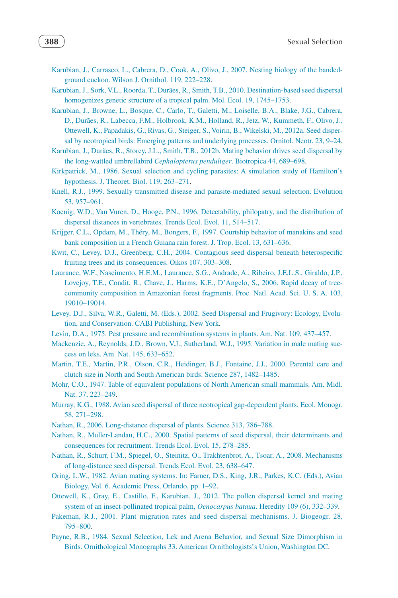**388** Sexual Selection **Sexual Selection** 

- <span id="page-23-11"></span>[Karubian, J., Carrasco, L., Cabrera, D., Cook, A., Olivo, J., 2007. Nesting biology of the banded](http://refhub.elsevier.com/B978-0-12-416028-6.00014-1/ref0185)[ground cuckoo. Wilson J. Ornithol. 119, 222–228](http://refhub.elsevier.com/B978-0-12-416028-6.00014-1/ref0185).
- <span id="page-23-7"></span>[Karubian, J., Sork, V.L., Roorda, T., Durães, R., Smith, T.B., 2010. Destination-based seed dispersal](http://refhub.elsevier.com/B978-0-12-416028-6.00014-1/ref0190) [homogenizes genetic structure of a tropical palm. Mol. Ecol. 19, 1745–1753.](http://refhub.elsevier.com/B978-0-12-416028-6.00014-1/ref0190)
- <span id="page-23-5"></span>[Karubian, J., Browne, L., Bosque, C., Carlo, T., Galetti, M., Loiselle, B.A., Blake, J.G., Cabrera,](http://refhub.elsevier.com/B978-0-12-416028-6.00014-1/ref0195) [D., Durães, R., Labecca, F.M., Holbrook, K.M., Holland, R., Jetz, W., Kummeth, F., Olivo, J.,](http://refhub.elsevier.com/B978-0-12-416028-6.00014-1/ref0195) [Ottewell, K., Papadakis, G., Rivas, G., Steiger, S., Voirin, B., Wikelski, M., 2012a. Seed disper](http://refhub.elsevier.com/B978-0-12-416028-6.00014-1/ref0195)[sal by neotropical birds: Emerging patterns and underlying processes. Ornitol. Neotr. 23, 9–24](http://refhub.elsevier.com/B978-0-12-416028-6.00014-1/ref0195).
- <span id="page-23-10"></span>[Karubian, J., Durães, R., Storey, J.L., Smith, T.B., 2012b. Mating behavior drives seed dispersal by](http://refhub.elsevier.com/B978-0-12-416028-6.00014-1/ref0200) [the long-wattled umbrellabird](http://refhub.elsevier.com/B978-0-12-416028-6.00014-1/ref0200) *Cephalopterus penduliger*. Biotropica 44, 689–698.
- <span id="page-23-1"></span>[Kirkpatrick, M., 1986. Sexual selection and cycling parasites: A simulation study of Hamilton's](http://refhub.elsevier.com/B978-0-12-416028-6.00014-1/ref0205) [hypothesis. J. Theoret. Biol. 119, 263–271.](http://refhub.elsevier.com/B978-0-12-416028-6.00014-1/ref0205)
- [Knell, R.J., 1999. Sexually transmitted disease and parasite-mediated sexual selection. Evolution](http://refhub.elsevier.com/B978-0-12-416028-6.00014-1/ref0210)  [53, 957–961](http://refhub.elsevier.com/B978-0-12-416028-6.00014-1/ref0210).
- <span id="page-23-9"></span>[Koenig, W.D., Van Vuren, D., Hooge, P.N., 1996. Detectability, philopatry, and the distribution of](http://refhub.elsevier.com/B978-0-12-416028-6.00014-1/ref0215)  [dispersal distances in vertebrates. Trends Ecol. Evol. 11, 514–517](http://refhub.elsevier.com/B978-0-12-416028-6.00014-1/ref0215).
- <span id="page-23-16"></span>[Krijger, C.L., Opdam, M., Théry, M., Bongers, F., 1997. Courtship behavior of manakins and seed](http://refhub.elsevier.com/B978-0-12-416028-6.00014-1/ref0220)  [bank composition in a French Guiana rain forest. J. Trop. Ecol. 13, 631–636.](http://refhub.elsevier.com/B978-0-12-416028-6.00014-1/ref0220)
- <span id="page-23-6"></span>[Kwit, C., Levey, D.J., Greenberg, C.H., 2004. Contagious seed dispersal beneath heterospecific](http://refhub.elsevier.com/B978-0-12-416028-6.00014-1/ref0225) [fruiting trees and its consequences. Oikos 107, 303–308](http://refhub.elsevier.com/B978-0-12-416028-6.00014-1/ref0225).
- [Laurance, W.F., Nascimento, H.E.M., Laurance, S.G., Andrade, A., Ribeiro, J.E.L.S., Giraldo, J.P.,](http://refhub.elsevier.com/B978-0-12-416028-6.00014-1/ref0230)  [Lovejoy, T.E., Condit, R., Chave, J., Harms, K.E., D'Angelo, S., 2006. Rapid decay of tree](http://refhub.elsevier.com/B978-0-12-416028-6.00014-1/ref0230)[community composition in Amazonian forest fragments. Proc. Natl. Acad. Sci. U. S. A. 103,](http://refhub.elsevier.com/B978-0-12-416028-6.00014-1/ref0230)  [19010–19014](http://refhub.elsevier.com/B978-0-12-416028-6.00014-1/ref0230).
- [Levey, D.J., Silva, W.R., Galetti, M. \(Eds.\), 2002. Seed Dispersal and Frugivory: Ecology, Evolu](http://refhub.elsevier.com/B978-0-12-416028-6.00014-1/ref0235)[tion, and Conservation. CABI Publishing, New York.](http://refhub.elsevier.com/B978-0-12-416028-6.00014-1/ref0235)
- <span id="page-23-15"></span>[Levin, D.A., 1975. Pest pressure and recombination systems in plants. Am. Nat. 109, 437–457.](http://refhub.elsevier.com/B978-0-12-416028-6.00014-1/ref0240)
- [Mackenzie, A., Reynolds, J.D., Brown, V.J., Sutherland, W.J., 1995. Variation in male mating suc](http://refhub.elsevier.com/B978-0-12-416028-6.00014-1/ref0245)[cess on leks. Am. Nat. 145, 633–652](http://refhub.elsevier.com/B978-0-12-416028-6.00014-1/ref0245).
- <span id="page-23-2"></span>[Martin, T.E., Martin, P.R., Olson, C.R., Heidinger, B.J., Fontaine, J.J., 2000. Parental care and](http://refhub.elsevier.com/B978-0-12-416028-6.00014-1/ref0250)  [clutch size in North and South American birds. Science 287, 1482–1485](http://refhub.elsevier.com/B978-0-12-416028-6.00014-1/ref0250).
- <span id="page-23-13"></span>[Mohr, C.O., 1947. Table of equivalent populations of North American small mammals. Am. Midl.](http://refhub.elsevier.com/B978-0-12-416028-6.00014-1/ref0255)  [Nat. 37, 223–249.](http://refhub.elsevier.com/B978-0-12-416028-6.00014-1/ref0255)
- <span id="page-23-4"></span>[Murray, K.G., 1988. Avian seed dispersal of three neotropical gap-dependent plants. Ecol. Monogr.](http://refhub.elsevier.com/B978-0-12-416028-6.00014-1/ref0260)  [58, 271–298](http://refhub.elsevier.com/B978-0-12-416028-6.00014-1/ref0260).
- [Nathan, R., 2006. Long-distance dispersal of plants. Science 313, 786–788](http://refhub.elsevier.com/B978-0-12-416028-6.00014-1/ref0265).
- <span id="page-23-8"></span>[Nathan, R., Muller-Landau, H.C., 2000. Spatial patterns of seed dispersal, their determinants and](http://refhub.elsevier.com/B978-0-12-416028-6.00014-1/ref0270) [consequences for recruitment. Trends Ecol. Evol. 15, 278–285.](http://refhub.elsevier.com/B978-0-12-416028-6.00014-1/ref0270)
- <span id="page-23-14"></span>[Nathan, R., Schurr, F.M., Spiegel, O., Steinitz, O., Trakhtenbrot, A., Tsoar, A., 2008. Mechanisms](http://refhub.elsevier.com/B978-0-12-416028-6.00014-1/ref0275)  [of long-distance seed dispersal. Trends Ecol. Evol. 23, 638–647.](http://refhub.elsevier.com/B978-0-12-416028-6.00014-1/ref0275)
- <span id="page-23-3"></span>[Oring, L.W., 1982. Avian mating systems. In: Farner, D.S., King, J.R., Parkes, K.C. \(Eds.\), Avian](http://refhub.elsevier.com/B978-0-12-416028-6.00014-1/ref0280) [Biology, Vol. 6. Academic Press, Orlando, pp. 1–92.](http://refhub.elsevier.com/B978-0-12-416028-6.00014-1/ref0280)
- <span id="page-23-12"></span>[Ottewell, K., Gray, E., Castillo, F., Karubian, J., 2012. The pollen dispersal kernel and mating](http://refhub.elsevier.com/B978-0-12-416028-6.00014-1/ref0285)  [system of an insect-pollinated tropical palm,](http://refhub.elsevier.com/B978-0-12-416028-6.00014-1/ref0285) *Oenocarpus bataua*. Heredity 109 (6), 332–339.
- [Pakeman, R.J., 2001. Plant migration rates and seed dispersal mechanisms. J. Biogeogr. 28,](http://refhub.elsevier.com/B978-0-12-416028-6.00014-1/ref0290)  [795–800.](http://refhub.elsevier.com/B978-0-12-416028-6.00014-1/ref0290)
- <span id="page-23-0"></span>[Payne, R.B., 1984. Sexual Selection, Lek and Arena Behavior, and Sexual Size Dimorphism in](http://refhub.elsevier.com/B978-0-12-416028-6.00014-1/ref0295) [Birds. Ornithological Monographs 33. American Ornithologists's Union, Washington DC](http://refhub.elsevier.com/B978-0-12-416028-6.00014-1/ref0295).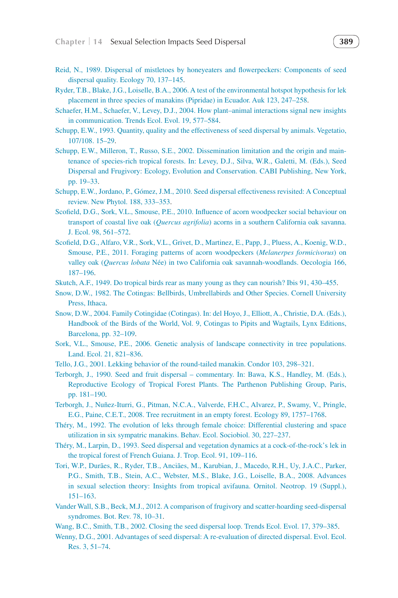- [Reid, N., 1989. Dispersal of mistletoes by honeyeaters and flowerpeckers: Components of seed](http://refhub.elsevier.com/B978-0-12-416028-6.00014-1/ref0300) [dispersal quality. Ecology 70, 137–145.](http://refhub.elsevier.com/B978-0-12-416028-6.00014-1/ref0300)
- <span id="page-24-13"></span>[Ryder, T.B., Blake, J.G., Loiselle, B.A., 2006. A test of the environmental hotspot hypothesis for lek](http://refhub.elsevier.com/B978-0-12-416028-6.00014-1/ref0305) [placement in three species of manakins \(Pipridae\) in Ecuador. Auk 123, 247–258](http://refhub.elsevier.com/B978-0-12-416028-6.00014-1/ref0305).
- <span id="page-24-1"></span>[Schaefer, H.M., Schaefer, V., Levey, D.J., 2004. How plant–animal interactions signal new insights](http://refhub.elsevier.com/B978-0-12-416028-6.00014-1/ref0310)  [in communication. Trends Ecol. Evol. 19, 577–584](http://refhub.elsevier.com/B978-0-12-416028-6.00014-1/ref0310).
- <span id="page-24-3"></span>[Schupp, E.W., 1993. Quantity, quality and the effectiveness of seed dispersal by animals. Vegetatio,](http://refhub.elsevier.com/B978-0-12-416028-6.00014-1/ref0315) [107/108. 15–29](http://refhub.elsevier.com/B978-0-12-416028-6.00014-1/ref0315).
- <span id="page-24-5"></span>[Schupp, E.W., Milleron, T., Russo, S.E., 2002. Dissemination limitation and the origin and main](http://refhub.elsevier.com/B978-0-12-416028-6.00014-1/ref0320)[tenance of species-rich tropical forests. In: Levey, D.J., Silva, W.R., Galetti, M. \(Eds.\), Seed](http://refhub.elsevier.com/B978-0-12-416028-6.00014-1/ref0320) [Dispersal and Frugivory: Ecology, Evolution and Conservation. CABI Publishing, New York,](http://refhub.elsevier.com/B978-0-12-416028-6.00014-1/ref0320)  [pp. 19–33](http://refhub.elsevier.com/B978-0-12-416028-6.00014-1/ref0320).
- [Schupp, E.W., Jordano, P., Gómez, J.M., 2010. Seed dispersal effectiveness revisited: A Conceptual](http://refhub.elsevier.com/B978-0-12-416028-6.00014-1/ref0325) [review. New Phytol. 188, 333–353.](http://refhub.elsevier.com/B978-0-12-416028-6.00014-1/ref0325)
- <span id="page-24-8"></span>[Scofield, D.G., Sork, V.L., Smouse, P.E., 2010. Influence of acorn woodpecker social behaviour on](http://refhub.elsevier.com/B978-0-12-416028-6.00014-1/ref0330)  transport of coastal live oak (*Quercus agrifolia*[\) acorns in a southern California oak savanna.](http://refhub.elsevier.com/B978-0-12-416028-6.00014-1/ref0330) [J. Ecol. 98, 561–572.](http://refhub.elsevier.com/B978-0-12-416028-6.00014-1/ref0330)
- <span id="page-24-7"></span>[Scofield, D.G., Alfaro, V.R., Sork, V.L., Grivet, D., Martinez, E., Papp, J., Pluess, A., Koenig, W.D.,](http://refhub.elsevier.com/B978-0-12-416028-6.00014-1/ref0335)  [Smouse, P.E., 2011. Foraging patterns of acorn woodpeckers \(](http://refhub.elsevier.com/B978-0-12-416028-6.00014-1/ref0335)*Melanerpes formicivorus*) on valley oak (*Quercus lobata* [Née\) in two California oak savannah-woodlands. Oecologia 166,](http://refhub.elsevier.com/B978-0-12-416028-6.00014-1/ref0335) [187–196](http://refhub.elsevier.com/B978-0-12-416028-6.00014-1/ref0335).
- <span id="page-24-2"></span>[Skutch, A.F., 1949. Do tropical birds rear as many young as they can nourish? Ibis 91, 430–455](http://refhub.elsevier.com/B978-0-12-416028-6.00014-1/ref0340).
- <span id="page-24-9"></span>[Snow, D.W., 1982. The Cotingas: Bellbirds, Umbrellabirds and Other Species. Cornell University](http://refhub.elsevier.com/B978-0-12-416028-6.00014-1/ref0345) [Press, Ithaca](http://refhub.elsevier.com/B978-0-12-416028-6.00014-1/ref0345).
- [Snow, D.W., 2004. Family Cotingidae \(Cotingas\). In: del Hoyo, J., Elliott, A., Christie, D.A. \(Eds.\),](http://refhub.elsevier.com/B978-0-12-416028-6.00014-1/ref0350)  [Handbook of the Birds of the World, Vol. 9, Cotingas to Pipits and Wagtails, Lynx Editions,](http://refhub.elsevier.com/B978-0-12-416028-6.00014-1/ref0350) [Barcelona, pp. 32–109](http://refhub.elsevier.com/B978-0-12-416028-6.00014-1/ref0350).
- <span id="page-24-6"></span>[Sork, V.L., Smouse, P.E., 2006. Genetic analysis of landscape connectivity in tree populations.](http://refhub.elsevier.com/B978-0-12-416028-6.00014-1/ref0355) [Land. Ecol. 21, 821–836](http://refhub.elsevier.com/B978-0-12-416028-6.00014-1/ref0355).
- [Tello, J.G., 2001. Lekking behavior of the round-tailed manakin. Condor 103, 298–321.](http://refhub.elsevier.com/B978-0-12-416028-6.00014-1/ref0360)
- <span id="page-24-0"></span>[Terborgh, J., 1990. Seed and fruit dispersal – commentary. In: Bawa, K.S., Handley, M. \(Eds.\),](http://refhub.elsevier.com/B978-0-12-416028-6.00014-1/ref0365)  [Reproductive Ecology of Tropical Forest Plants. The Parthenon Publishing Group, Paris,](http://refhub.elsevier.com/B978-0-12-416028-6.00014-1/ref0365)  [pp. 181–190](http://refhub.elsevier.com/B978-0-12-416028-6.00014-1/ref0365).
- <span id="page-24-14"></span>[Terborgh, J., Nuñez-Iturri, G., Pitman, N.C.A., Valverde, F.H.C., Alvarez, P., Swamy, V., Pringle,](http://refhub.elsevier.com/B978-0-12-416028-6.00014-1/ref0370)  [E.G., Paine, C.E.T., 2008. Tree recruitment in an empty forest. Ecology 89, 1757–1768.](http://refhub.elsevier.com/B978-0-12-416028-6.00014-1/ref0370)
- <span id="page-24-11"></span>[Théry, M., 1992. The evolution of leks through female choice: Differential clustering and space](http://refhub.elsevier.com/B978-0-12-416028-6.00014-1/ref0375)  [utilization in six sympatric manakins. Behav. Ecol. Sociobiol. 30, 227–237](http://refhub.elsevier.com/B978-0-12-416028-6.00014-1/ref0375).
- <span id="page-24-12"></span>[Théry, M., Larpin, D., 1993. Seed dispersal and vegetation dynamics at a cock-of-the-rock's lek in](http://refhub.elsevier.com/B978-0-12-416028-6.00014-1/ref0380)  [the tropical forest of French Guiana. J. Trop. Ecol. 91, 109–116](http://refhub.elsevier.com/B978-0-12-416028-6.00014-1/ref0380).
- <span id="page-24-10"></span>[Tori, W.P., Durães, R., Ryder, T.B., Anciães, M., Karubian, J., Macedo, R.H., Uy, J.A.C., Parker,](http://refhub.elsevier.com/B978-0-12-416028-6.00014-1/ref0385)  [P.G., Smith, T.B., Stein, A.C., Webster, M.S., Blake, J.G., Loiselle, B.A., 2008. Advances](http://refhub.elsevier.com/B978-0-12-416028-6.00014-1/ref0385) [in sexual selection theory: Insights from tropical avifauna. Ornitol. Neotrop. 19 \(Suppl.\),](http://refhub.elsevier.com/B978-0-12-416028-6.00014-1/ref0385) [151–163](http://refhub.elsevier.com/B978-0-12-416028-6.00014-1/ref0385).
- <span id="page-24-4"></span>[Vander Wall, S.B., Beck, M.J., 2012. A comparison of frugivory and scatter-hoarding seed-dispersal](http://refhub.elsevier.com/B978-0-12-416028-6.00014-1/ref0390) [syndromes. Bot. Rev. 78, 10–31](http://refhub.elsevier.com/B978-0-12-416028-6.00014-1/ref0390).
- [Wang, B.C., Smith, T.B., 2002. Closing the seed dispersal loop. Trends Ecol. Evol. 17, 379–385.](http://refhub.elsevier.com/B978-0-12-416028-6.00014-1/ref0395)
- [Wenny, D.G., 2001. Advantages of seed dispersal: A re-evaluation of directed dispersal. Evol. Ecol.](http://refhub.elsevier.com/B978-0-12-416028-6.00014-1/ref0400) [Res. 3, 51–74](http://refhub.elsevier.com/B978-0-12-416028-6.00014-1/ref0400).